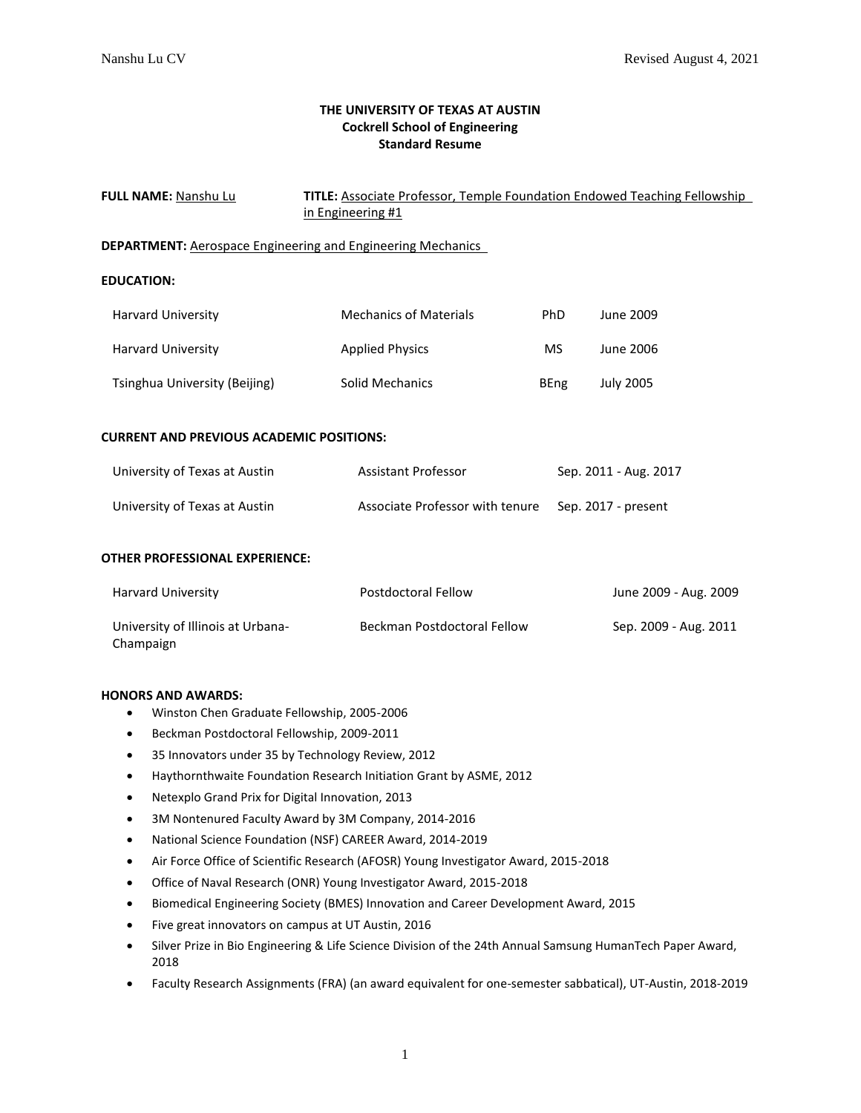# **THE UNIVERSITY OF TEXAS AT AUSTIN Cockrell School of Engineering Standard Resume**

| FULL NAME: Nanshu Lu                                                                  | TITLE: Associate Professor, Temple Foundation Endowed Teaching Fellowship<br>in Engineering #1 |                       |                       |  |  |  |  |
|---------------------------------------------------------------------------------------|------------------------------------------------------------------------------------------------|-----------------------|-----------------------|--|--|--|--|
|                                                                                       |                                                                                                |                       |                       |  |  |  |  |
| <b>DEPARTMENT:</b> Aerospace Engineering and Engineering Mechanics                    |                                                                                                |                       |                       |  |  |  |  |
| <b>EDUCATION:</b>                                                                     |                                                                                                |                       |                       |  |  |  |  |
| Harvard University                                                                    | <b>Mechanics of Materials</b>                                                                  | <b>PhD</b>            | June 2009             |  |  |  |  |
| Harvard University                                                                    | <b>Applied Physics</b>                                                                         | MS.                   | June 2006             |  |  |  |  |
| Tsinghua University (Beijing)                                                         | Solid Mechanics                                                                                | <b>BEng</b>           | <b>July 2005</b>      |  |  |  |  |
| <b>CURRENT AND PREVIOUS ACADEMIC POSITIONS:</b>                                       |                                                                                                |                       |                       |  |  |  |  |
| University of Texas at Austin                                                         | <b>Assistant Professor</b>                                                                     | Sep. 2011 - Aug. 2017 |                       |  |  |  |  |
| University of Texas at Austin                                                         | Associate Professor with tenure<br>Sep. 2017 - present                                         |                       |                       |  |  |  |  |
| <b>OTHER PROFESSIONAL EXPERIENCE:</b>                                                 |                                                                                                |                       |                       |  |  |  |  |
| <b>Harvard University</b>                                                             | Postdoctoral Fellow                                                                            |                       | June 2009 - Aug. 2009 |  |  |  |  |
| University of Illinois at Urbana-<br>Champaign                                        | Beckman Postdoctoral Fellow                                                                    |                       | Sep. 2009 - Aug. 2011 |  |  |  |  |
| <b>HONORS AND AWARDS:</b><br>Winston Chen Graduate Fellowship, 2005-2006<br>$\bullet$ |                                                                                                |                       |                       |  |  |  |  |
| Beckman Postdoctoral Fellowship, 2009-2011<br>$\bullet$                               |                                                                                                |                       |                       |  |  |  |  |
| 35 Innovators under 35 by Technology Review, 2012<br>٠                                |                                                                                                |                       |                       |  |  |  |  |
| $\bullet$                                                                             | Haythornthwaite Foundation Research Initiation Grant by ASME, 2012                             |                       |                       |  |  |  |  |
| $\bullet$                                                                             | Netexplo Grand Prix for Digital Innovation, 2013                                               |                       |                       |  |  |  |  |
| $\bullet$                                                                             | 3M Nontenured Faculty Award by 3M Company, 2014-2016                                           |                       |                       |  |  |  |  |
|                                                                                       | National Science Foundation (NSF) CAREER Award, 2014-2019                                      |                       |                       |  |  |  |  |

- Air Force Office of Scientific Research (AFOSR) Young Investigator Award, 2015-2018
- Office of Naval Research (ONR) Young Investigator Award, 2015-2018
- Biomedical Engineering Society (BMES) Innovation and Career Development Award, 2015
- Five great innovators on campus at UT Austin, 2016
- Silver Prize in Bio Engineering & Life Science Division of the 24th Annual Samsung HumanTech Paper Award, 2018
- Faculty Research Assignments (FRA) (an award equivalent for one-semester sabbatical), UT-Austin, 2018-2019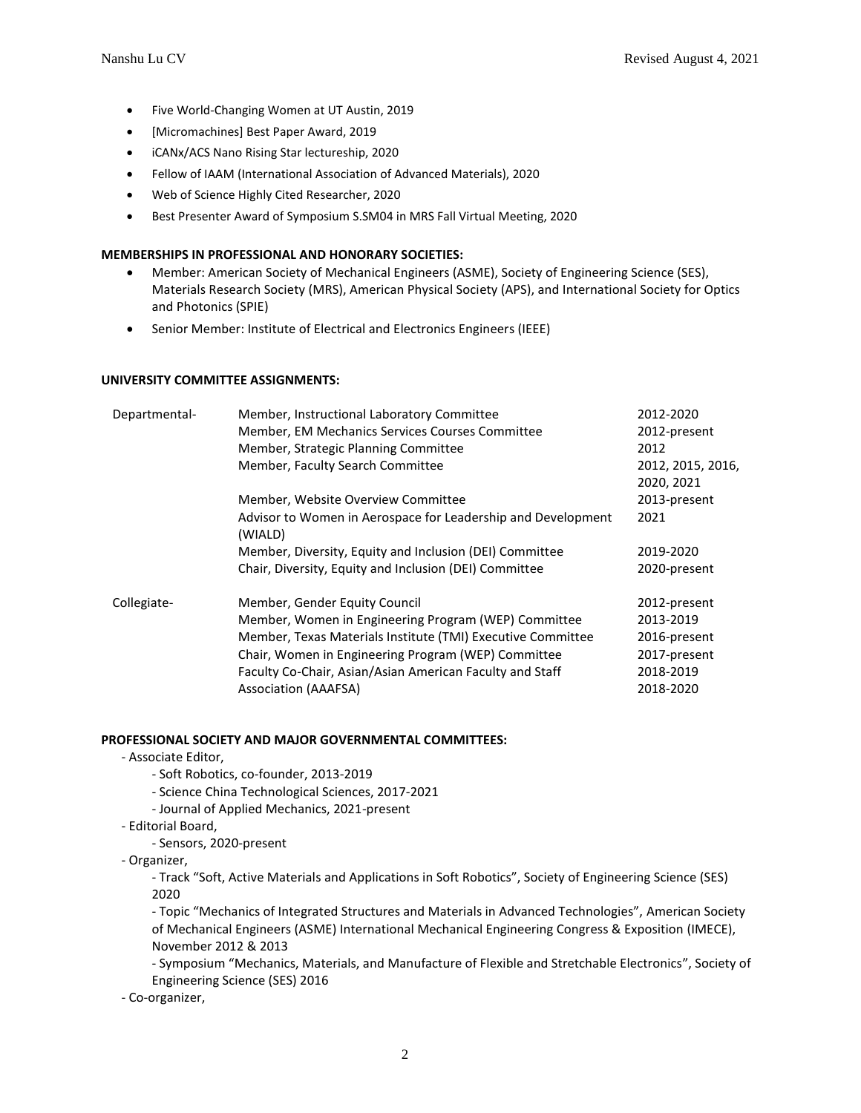- Five World-Changing Women at UT Austin, 2019
- [Micromachines] Best Paper Award, 2019
- iCANx/ACS Nano Rising Star lectureship, 2020
- Fellow of IAAM (International Association of Advanced Materials), 2020
- Web of Science Highly Cited Researcher, 2020
- Best Presenter Award of Symposium S.SM04 in MRS Fall Virtual Meeting, 2020

# **MEMBERSHIPS IN PROFESSIONAL AND HONORARY SOCIETIES:**

- Member: American Society of Mechanical Engineers (ASME), Society of Engineering Science (SES), Materials Research Society (MRS), American Physical Society (APS), and International Society for Optics and Photonics (SPIE)
- Senior Member: Institute of Electrical and Electronics Engineers (IEEE)

# **UNIVERSITY COMMITTEE ASSIGNMENTS:**

| Departmental- | Member, Instructional Laboratory Committee                              | 2012-2020         |
|---------------|-------------------------------------------------------------------------|-------------------|
|               | Member, EM Mechanics Services Courses Committee                         | 2012-present      |
|               | Member, Strategic Planning Committee                                    | 2012              |
|               | Member, Faculty Search Committee                                        | 2012, 2015, 2016, |
|               |                                                                         | 2020, 2021        |
|               | Member, Website Overview Committee                                      | 2013-present      |
|               | Advisor to Women in Aerospace for Leadership and Development<br>(WIALD) | 2021              |
|               | Member, Diversity, Equity and Inclusion (DEI) Committee                 | 2019-2020         |
|               | Chair, Diversity, Equity and Inclusion (DEI) Committee                  | 2020-present      |
| Collegiate-   | Member, Gender Equity Council                                           | 2012-present      |
|               | Member, Women in Engineering Program (WEP) Committee                    | 2013-2019         |
|               | Member, Texas Materials Institute (TMI) Executive Committee             | 2016-present      |
|               | Chair, Women in Engineering Program (WEP) Committee                     | 2017-present      |
|               | Faculty Co-Chair, Asian/Asian American Faculty and Staff                | 2018-2019         |
|               | Association (AAAFSA)                                                    | 2018-2020         |
|               |                                                                         |                   |

# **PROFESSIONAL SOCIETY AND MAJOR GOVERNMENTAL COMMITTEES:**

- Associate Editor,
	- Soft Robotics, co-founder, 2013-2019
	- Science China Technological Sciences, 2017-2021
	- Journal of Applied Mechanics, 2021-present
- Editorial Board,
	- Sensors, 2020-present
- Organizer,

- Track "Soft, Active Materials and Applications in Soft Robotics", Society of Engineering Science (SES) 2020

- Topic "Mechanics of Integrated Structures and Materials in Advanced Technologies", American Society of Mechanical Engineers (ASME) International Mechanical Engineering Congress & Exposition (IMECE), November 2012 & 2013

- Symposium "Mechanics, Materials, and Manufacture of Flexible and Stretchable Electronics", Society of Engineering Science (SES) 2016

- Co-organizer,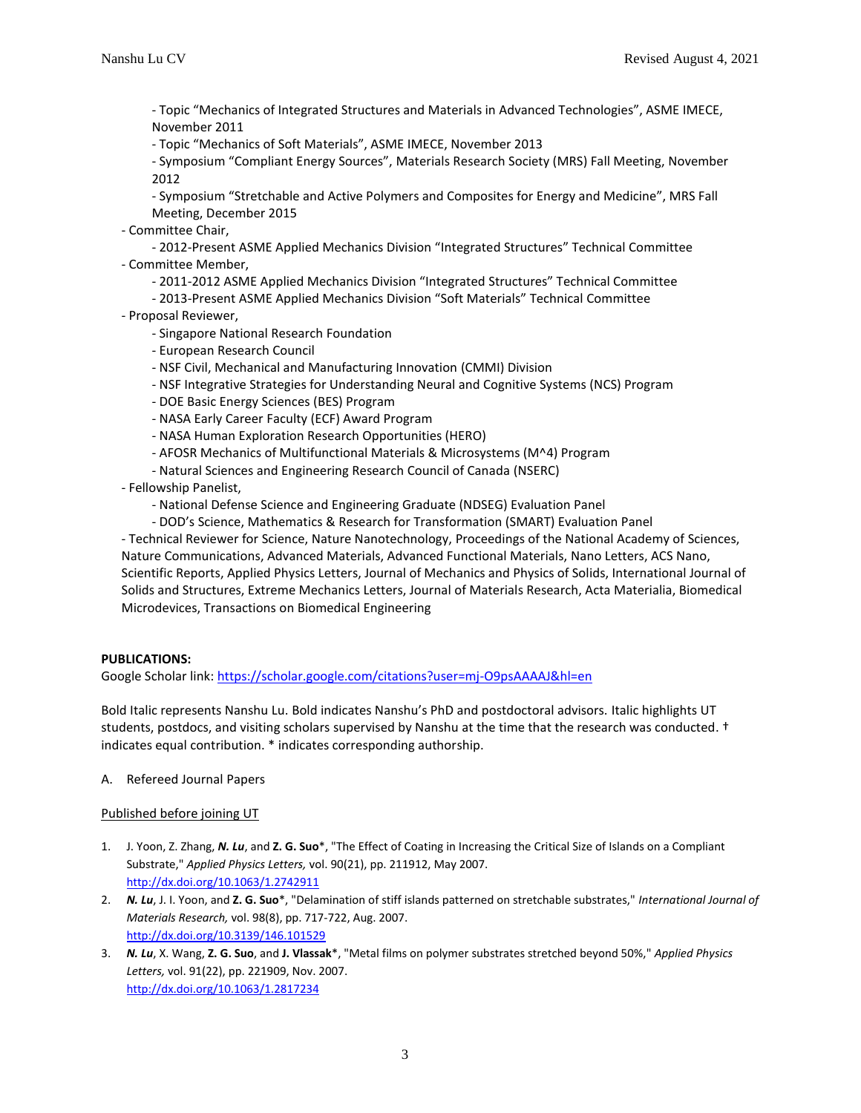- Topic "Mechanics of Integrated Structures and Materials in Advanced Technologies", ASME IMECE, November 2011

- Topic "Mechanics of Soft Materials", ASME IMECE, November 2013

- Symposium "Compliant Energy Sources", Materials Research Society (MRS) Fall Meeting, November 2012

- Symposium "Stretchable and Active Polymers and Composites for Energy and Medicine", MRS Fall Meeting, December 2015

- Committee Chair,

- 2012-Present ASME Applied Mechanics Division "Integrated Structures" Technical Committee - Committee Member,

- 2011-2012 ASME Applied Mechanics Division "Integrated Structures" Technical Committee
- 2013-Present ASME Applied Mechanics Division "Soft Materials" Technical Committee
- Proposal Reviewer,
	- Singapore National Research Foundation
	- European Research Council
	- NSF Civil, Mechanical and Manufacturing Innovation (CMMI) Division
	- NSF Integrative Strategies for Understanding Neural and Cognitive Systems (NCS) Program
	- DOE Basic Energy Sciences (BES) Program
	- NASA Early Career Faculty (ECF) Award Program
	- NASA Human Exploration Research Opportunities (HERO)
	- AFOSR Mechanics of Multifunctional Materials & Microsystems (M^4) Program
	- Natural Sciences and Engineering Research Council of Canada (NSERC)
- Fellowship Panelist,
	- National Defense Science and Engineering Graduate (NDSEG) Evaluation Panel
	- DOD's Science, Mathematics & Research for Transformation (SMART) Evaluation Panel

- Technical Reviewer for Science, Nature Nanotechnology, Proceedings of the National Academy of Sciences, Nature Communications, Advanced Materials, Advanced Functional Materials, Nano Letters, ACS Nano, Scientific Reports, Applied Physics Letters, Journal of Mechanics and Physics of Solids, International Journal of Solids and Structures, Extreme Mechanics Letters, Journal of Materials Research, Acta Materialia, Biomedical Microdevices, Transactions on Biomedical Engineering

#### **PUBLICATIONS:**

Google Scholar link: <https://scholar.google.com/citations?user=mj-O9psAAAAJ&hl=en>

Bold Italic represents Nanshu Lu. Bold indicates Nanshu's PhD and postdoctoral advisors. Italic highlights UT students, postdocs, and visiting scholars supervised by Nanshu at the time that the research was conducted. † indicates equal contribution. \* indicates corresponding authorship.

A. Refereed Journal Papers

#### Published before joining UT

- 1. J. Yoon, Z. Zhang, *N. Lu*, and **Z. G. Suo**\*, "The Effect of Coating in Increasing the Critical Size of Islands on a Compliant Substrate," *Applied Physics Letters,* vol. 90(21), pp. 211912, May 2007. <http://dx.doi.org/10.1063/1.2742911>
- 2. *N. Lu*, J. I. Yoon, and **Z. G. Suo**\*, "Delamination of stiff islands patterned on stretchable substrates," *International Journal of Materials Research,* vol. 98(8), pp. 717-722, Aug. 2007. <http://dx.doi.org/10.3139/146.101529>
- 3. *N. Lu*, X. Wang, **Z. G. Suo**, and **J. Vlassak**\*, "Metal films on polymer substrates stretched beyond 50%," *Applied Physics Letters,* vol. 91(22), pp. 221909, Nov. 2007. <http://dx.doi.org/10.1063/1.2817234>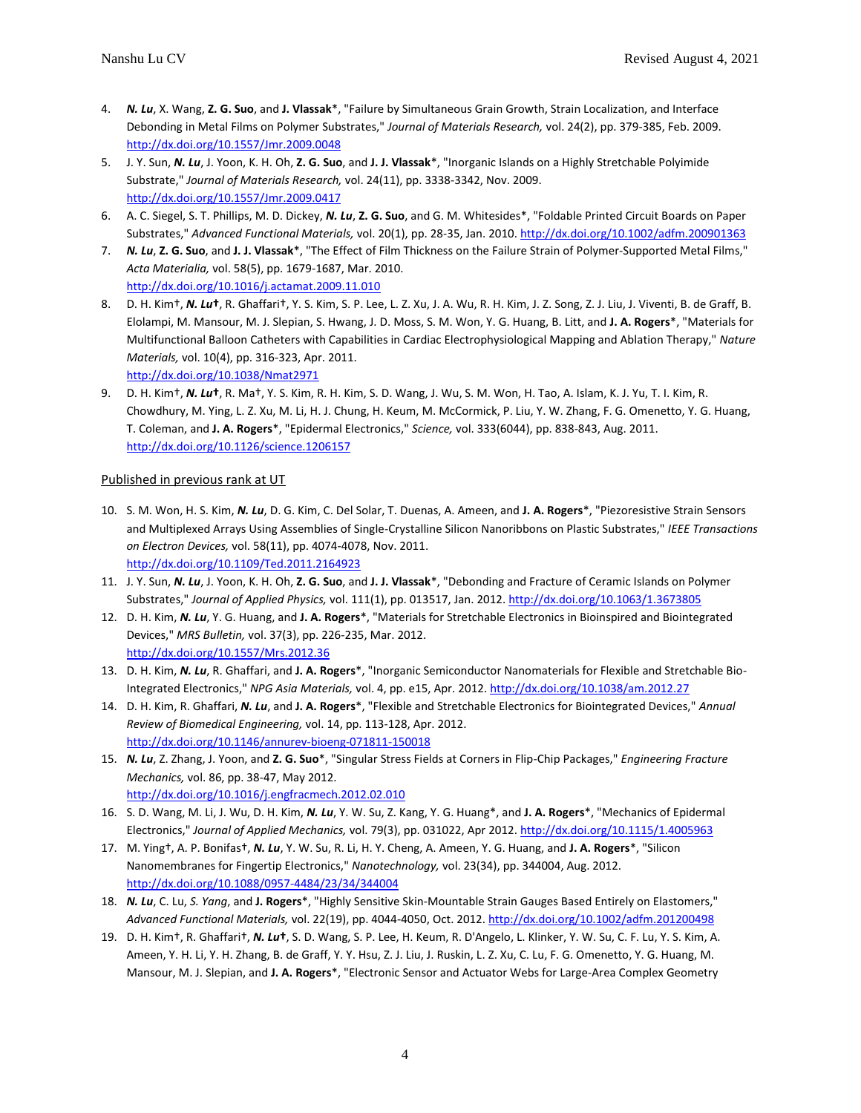- 4. *N. Lu*, X. Wang, **Z. G. Suo**, and **J. Vlassak**\*, "Failure by Simultaneous Grain Growth, Strain Localization, and Interface Debonding in Metal Films on Polymer Substrates," *Journal of Materials Research,* vol. 24(2), pp. 379-385, Feb. 2009. <http://dx.doi.org/10.1557/Jmr.2009.0048>
- 5. J. Y. Sun, *N. Lu*, J. Yoon, K. H. Oh, **Z. G. Suo**, and **J. J. Vlassak**\*, "Inorganic Islands on a Highly Stretchable Polyimide Substrate," *Journal of Materials Research,* vol. 24(11), pp. 3338-3342, Nov. 2009. <http://dx.doi.org/10.1557/Jmr.2009.0417>
- 6. A. C. Siegel, S. T. Phillips, M. D. Dickey, *N. Lu*, **Z. G. Suo**, and G. M. Whitesides\*, "Foldable Printed Circuit Boards on Paper Substrates," *Advanced Functional Materials,* vol. 20(1), pp. 28-35, Jan. 2010[. http://dx.doi.org/10.1002/adfm.200901363](http://dx.doi.org/10.1002/adfm.200901363)
- 7. *N. Lu*, **Z. G. Suo**, and **J. J. Vlassak**\*, "The Effect of Film Thickness on the Failure Strain of Polymer-Supported Metal Films," *Acta Materialia,* vol. 58(5), pp. 1679-1687, Mar. 2010. <http://dx.doi.org/10.1016/j.actamat.2009.11.010>
- 8. D. H. Kim†, *N. Lu***†**, R. Ghaffari†, Y. S. Kim, S. P. Lee, L. Z. Xu, J. A. Wu, R. H. Kim, J. Z. Song, Z. J. Liu, J. Viventi, B. de Graff, B. Elolampi, M. Mansour, M. J. Slepian, S. Hwang, J. D. Moss, S. M. Won, Y. G. Huang, B. Litt, and **J. A. Rogers**\*, "Materials for Multifunctional Balloon Catheters with Capabilities in Cardiac Electrophysiological Mapping and Ablation Therapy," *Nature Materials,* vol. 10(4), pp. 316-323, Apr. 2011. <http://dx.doi.org/10.1038/Nmat2971>
- 9. D. H. Kim†, *N. Lu***†**, R. Ma†, Y. S. Kim, R. H. Kim, S. D. Wang, J. Wu, S. M. Won, H. Tao, A. Islam, K. J. Yu, T. I. Kim, R. Chowdhury, M. Ying, L. Z. Xu, M. Li, H. J. Chung, H. Keum, M. McCormick, P. Liu, Y. W. Zhang, F. G. Omenetto, Y. G. Huang, T. Coleman, and **J. A. Rogers**\*, "Epidermal Electronics," *Science,* vol. 333(6044), pp. 838-843, Aug. 2011. <http://dx.doi.org/10.1126/science.1206157>

### Published in previous rank at UT

- 10. S. M. Won, H. S. Kim, *N. Lu*, D. G. Kim, C. Del Solar, T. Duenas, A. Ameen, and **J. A. Rogers**\*, "Piezoresistive Strain Sensors and Multiplexed Arrays Using Assemblies of Single-Crystalline Silicon Nanoribbons on Plastic Substrates," *IEEE Transactions on Electron Devices,* vol. 58(11), pp. 4074-4078, Nov. 2011. <http://dx.doi.org/10.1109/Ted.2011.2164923>
- 11. J. Y. Sun, *N. Lu*, J. Yoon, K. H. Oh, **Z. G. Suo**, and **J. J. Vlassak**\*, "Debonding and Fracture of Ceramic Islands on Polymer Substrates," *Journal of Applied Physics,* vol. 111(1), pp. 013517, Jan. 2012[. http://dx.doi.org/10.1063/1.3673805](http://dx.doi.org/10.1063/1.3673805)
- 12. D. H. Kim, *N. Lu*, Y. G. Huang, and **J. A. Rogers**\*, "Materials for Stretchable Electronics in Bioinspired and Biointegrated Devices," *MRS Bulletin,* vol. 37(3), pp. 226-235, Mar. 2012. <http://dx.doi.org/10.1557/Mrs.2012.36>
- 13. D. H. Kim, *N. Lu*, R. Ghaffari, and **J. A. Rogers**\*, "Inorganic Semiconductor Nanomaterials for Flexible and Stretchable Bio-Integrated Electronics," *NPG Asia Materials,* vol. 4, pp. e15, Apr. 2012[. http://dx.doi.org/10.1038/am.2012.27](http://dx.doi.org/10.1038/am.2012.27)
- 14. D. H. Kim, R. Ghaffari, *N. Lu*, and **J. A. Rogers**\*, "Flexible and Stretchable Electronics for Biointegrated Devices," *Annual Review of Biomedical Engineering,* vol. 14, pp. 113-128, Apr. 2012. <http://dx.doi.org/10.1146/annurev-bioeng-071811-150018>
- 15. *N. Lu*, Z. Zhang, J. Yoon, and **Z. G. Suo**\*, "Singular Stress Fields at Corners in Flip-Chip Packages," *Engineering Fracture Mechanics,* vol. 86, pp. 38-47, May 2012. <http://dx.doi.org/10.1016/j.engfracmech.2012.02.010>
- 16. S. D. Wang, M. Li, J. Wu, D. H. Kim, *N. Lu*, Y. W. Su, Z. Kang, Y. G. Huang\*, and **J. A. Rogers**\*, "Mechanics of Epidermal Electronics," *Journal of Applied Mechanics,* vol. 79(3), pp. 031022, Apr 2012[. http://dx.doi.org/10.1115/1.4005963](http://dx.doi.org/10.1115/1.4005963)
- 17. M. Ying†, A. P. Bonifas†, *N. Lu*, Y. W. Su, R. Li, H. Y. Cheng, A. Ameen, Y. G. Huang, and **J. A. Rogers**\*, "Silicon Nanomembranes for Fingertip Electronics," *Nanotechnology,* vol. 23(34), pp. 344004, Aug. 2012. <http://dx.doi.org/10.1088/0957-4484/23/34/344004>
- 18. *N. Lu*, C. Lu, *S. Yang*, and **J. Rogers**\*, "Highly Sensitive Skin-Mountable Strain Gauges Based Entirely on Elastomers," *Advanced Functional Materials,* vol. 22(19), pp. 4044-4050, Oct. 2012[. http://dx.doi.org/10.1002/adfm.201200498](http://dx.doi.org/10.1002/adfm.201200498)
- 19. D. H. Kim†, R. Ghaffari†, *N. Lu***†**, S. D. Wang, S. P. Lee, H. Keum, R. D'Angelo, L. Klinker, Y. W. Su, C. F. Lu, Y. S. Kim, A. Ameen, Y. H. Li, Y. H. Zhang, B. de Graff, Y. Y. Hsu, Z. J. Liu, J. Ruskin, L. Z. Xu, C. Lu, F. G. Omenetto, Y. G. Huang, M. Mansour, M. J. Slepian, and **J. A. Rogers**\*, "Electronic Sensor and Actuator Webs for Large-Area Complex Geometry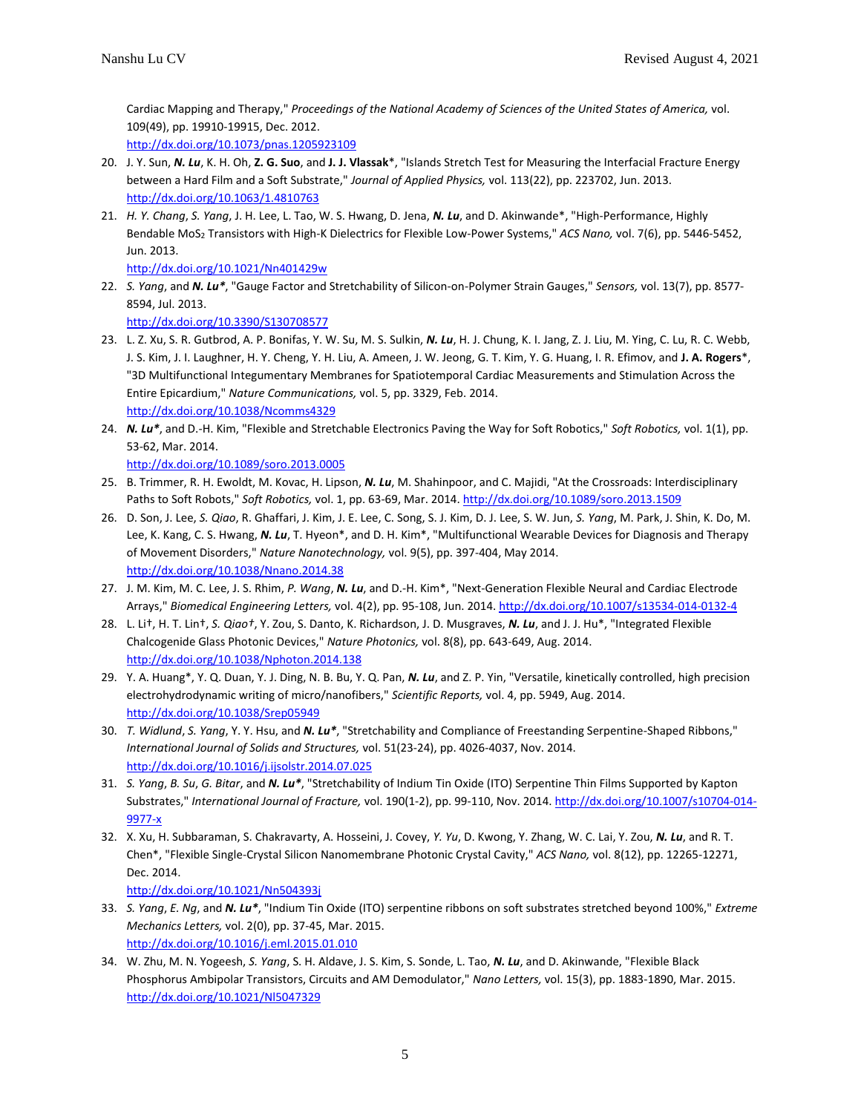Cardiac Mapping and Therapy," *Proceedings of the National Academy of Sciences of the United States of America,* vol. 109(49), pp. 19910-19915, Dec. 2012.

<http://dx.doi.org/10.1073/pnas.1205923109>

- 20. J. Y. Sun, *N. Lu*, K. H. Oh, **Z. G. Suo**, and **J. J. Vlassak**\*, "Islands Stretch Test for Measuring the Interfacial Fracture Energy between a Hard Film and a Soft Substrate," *Journal of Applied Physics,* vol. 113(22), pp. 223702, Jun. 2013. <http://dx.doi.org/10.1063/1.4810763>
- 21. *H. Y. Chang*, *S. Yang*, J. H. Lee, L. Tao, W. S. Hwang, D. Jena, *N. Lu*, and D. Akinwande\*, "High-Performance, Highly Bendable MoS<sup>2</sup> Transistors with High-K Dielectrics for Flexible Low-Power Systems," *ACS Nano,* vol. 7(6), pp. 5446-5452, Jun. 2013.

<http://dx.doi.org/10.1021/Nn401429w>

22. *S. Yang*, and *N. Lu\**, "Gauge Factor and Stretchability of Silicon-on-Polymer Strain Gauges," *Sensors,* vol. 13(7), pp. 8577- 8594, Jul. 2013.

<http://dx.doi.org/10.3390/S130708577>

- 23. L. Z. Xu, S. R. Gutbrod, A. P. Bonifas, Y. W. Su, M. S. Sulkin, *N. Lu*, H. J. Chung, K. I. Jang, Z. J. Liu, M. Ying, C. Lu, R. C. Webb, J. S. Kim, J. I. Laughner, H. Y. Cheng, Y. H. Liu, A. Ameen, J. W. Jeong, G. T. Kim, Y. G. Huang, I. R. Efimov, and **J. A. Rogers**\*, "3D Multifunctional Integumentary Membranes for Spatiotemporal Cardiac Measurements and Stimulation Across the Entire Epicardium," *Nature Communications,* vol. 5, pp. 3329, Feb. 2014. <http://dx.doi.org/10.1038/Ncomms4329>
- 24. *N. Lu\**, and D.-H. Kim, "Flexible and Stretchable Electronics Paving the Way for Soft Robotics," *Soft Robotics,* vol. 1(1), pp. 53-62, Mar. 2014.

```
http://dx.doi.org/10.1089/soro.2013.0005
```
- 25. B. Trimmer, R. H. Ewoldt, M. Kovac, H. Lipson, *N. Lu*, M. Shahinpoor, and C. Majidi, "At the Crossroads: Interdisciplinary Paths to Soft Robots," *Soft Robotics,* vol. 1, pp. 63-69, Mar. 2014[. http://dx.doi.org/10.1089/soro.2013.1509](http://dx.doi.org/10.1089/soro.2013.1509)
- 26. D. Son, J. Lee, *S. Qiao*, R. Ghaffari, J. Kim, J. E. Lee, C. Song, S. J. Kim, D. J. Lee, S. W. Jun, *S. Yang*, M. Park, J. Shin, K. Do, M. Lee, K. Kang, C. S. Hwang, *N. Lu*, T. Hyeon\*, and D. H. Kim\*, "Multifunctional Wearable Devices for Diagnosis and Therapy of Movement Disorders," *Nature Nanotechnology,* vol. 9(5), pp. 397-404, May 2014. <http://dx.doi.org/10.1038/Nnano.2014.38>
- 27. J. M. Kim, M. C. Lee, J. S. Rhim, *P. Wang*, *N. Lu*, and D.-H. Kim\*, "Next-Generation Flexible Neural and Cardiac Electrode Arrays," *Biomedical Engineering Letters,* vol. 4(2), pp. 95-108, Jun. 2014.<http://dx.doi.org/10.1007/s13534-014-0132-4>
- 28. L. Li†, H. T. Lin†, *S. Qiao†*, Y. Zou, S. Danto, K. Richardson, J. D. Musgraves, *N. Lu*, and J. J. Hu\*, "Integrated Flexible Chalcogenide Glass Photonic Devices," *Nature Photonics,* vol. 8(8), pp. 643-649, Aug. 2014. <http://dx.doi.org/10.1038/Nphoton.2014.138>
- 29. Y. A. Huang\*, Y. Q. Duan, Y. J. Ding, N. B. Bu, Y. Q. Pan, *N. Lu*, and Z. P. Yin, "Versatile, kinetically controlled, high precision electrohydrodynamic writing of micro/nanofibers," *Scientific Reports,* vol. 4, pp. 5949, Aug. 2014. <http://dx.doi.org/10.1038/Srep05949>
- 30. *T. Widlund*, *S. Yang*, Y. Y. Hsu, and *N. Lu\**, "Stretchability and Compliance of Freestanding Serpentine-Shaped Ribbons," *International Journal of Solids and Structures,* vol. 51(23-24), pp. 4026-4037, Nov. 2014. <http://dx.doi.org/10.1016/j.ijsolstr.2014.07.025>
- 31. *S. Yang*, *B. Su*, *G. Bitar*, and *N. Lu\**, "Stretchability of Indium Tin Oxide (ITO) Serpentine Thin Films Supported by Kapton Substrates," *International Journal of Fracture,* vol. 190(1-2), pp. 99-110, Nov. 2014[. http://dx.doi.org/10.1007/s10704-014-](http://dx.doi.org/10.1007/s10704-014-9977-x) [9977-x](http://dx.doi.org/10.1007/s10704-014-9977-x)
- 32. X. Xu, H. Subbaraman, S. Chakravarty, A. Hosseini, J. Covey, *Y. Yu*, D. Kwong, Y. Zhang, W. C. Lai, Y. Zou, *N. Lu*, and R. T. Chen\*, "Flexible Single-Crystal Silicon Nanomembrane Photonic Crystal Cavity," *ACS Nano,* vol. 8(12), pp. 12265-12271, Dec. 2014.

<http://dx.doi.org/10.1021/Nn504393j>

- 33. *S. Yang*, *E. Ng*, and *N. Lu\**, "Indium Tin Oxide (ITO) serpentine ribbons on soft substrates stretched beyond 100%," *Extreme Mechanics Letters,* vol. 2(0), pp. 37-45, Mar. 2015. <http://dx.doi.org/10.1016/j.eml.2015.01.010>
- 34. W. Zhu, M. N. Yogeesh, *S. Yang*, S. H. Aldave, J. S. Kim, S. Sonde, L. Tao, *N. Lu*, and D. Akinwande, "Flexible Black Phosphorus Ambipolar Transistors, Circuits and AM Demodulator," *Nano Letters,* vol. 15(3), pp. 1883-1890, Mar. 2015. <http://dx.doi.org/10.1021/Nl5047329>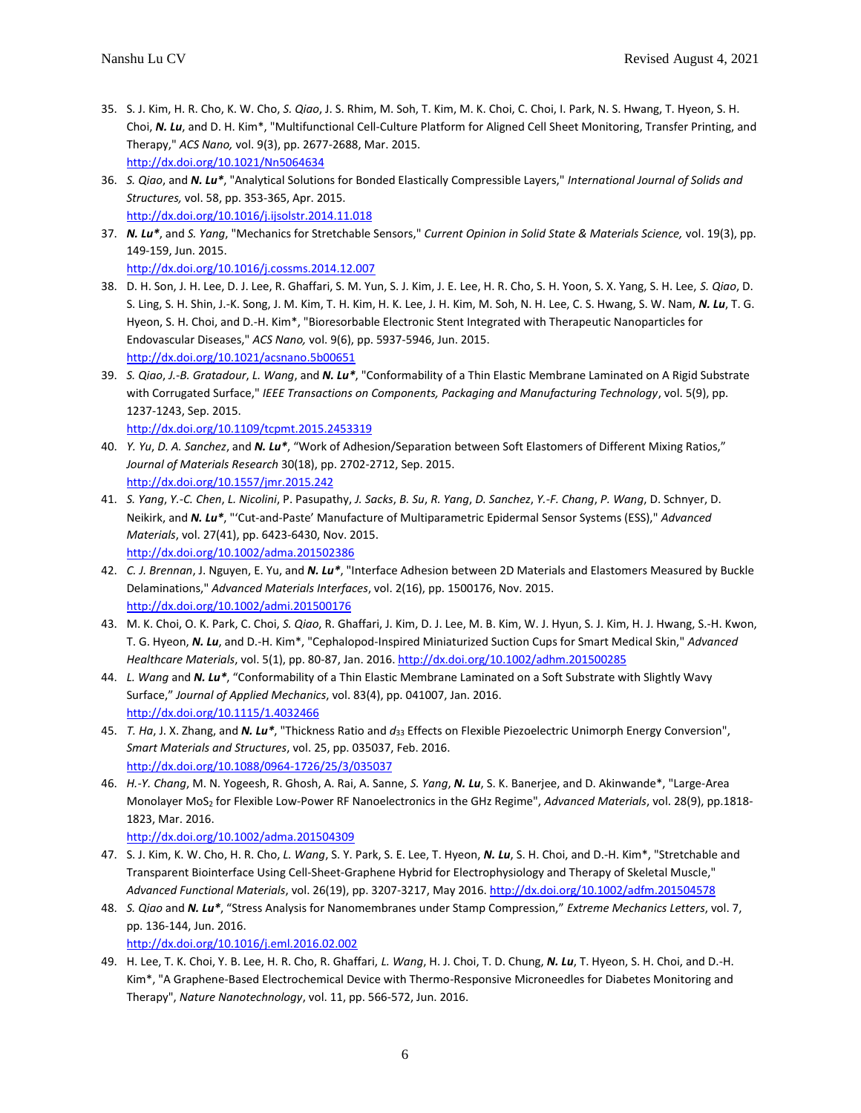- 35. S. J. Kim, H. R. Cho, K. W. Cho, *S. Qiao*, J. S. Rhim, M. Soh, T. Kim, M. K. Choi, C. Choi, I. Park, N. S. Hwang, T. Hyeon, S. H. Choi, *N. Lu*, and D. H. Kim\*, "Multifunctional Cell-Culture Platform for Aligned Cell Sheet Monitoring, Transfer Printing, and Therapy," *ACS Nano,* vol. 9(3), pp. 2677-2688, Mar. 2015. <http://dx.doi.org/10.1021/Nn5064634>
- 36. *S. Qiao*, and *N. Lu\**, "Analytical Solutions for Bonded Elastically Compressible Layers," *International Journal of Solids and Structures,* vol. 58, pp. 353-365, Apr. 2015. <http://dx.doi.org/10.1016/j.ijsolstr.2014.11.018>
- 37. *N. Lu\**, and *S. Yang*, "Mechanics for Stretchable Sensors," *Current Opinion in Solid State & Materials Science,* vol. 19(3), pp. 149-159, Jun. 2015. <http://dx.doi.org/10.1016/j.cossms.2014.12.007>
- 38. D. H. Son, J. H. Lee, D. J. Lee, R. Ghaffari, S. M. Yun, S. J. Kim, J. E. Lee, H. R. Cho, S. H. Yoon, S. X. Yang, S. H. Lee, *S. Qiao*, D. S. Ling, S. H. Shin, J.-K. Song, J. M. Kim, T. H. Kim, H. K. Lee, J. H. Kim, M. Soh, N. H. Lee, C. S. Hwang, S. W. Nam, *N. Lu*, T. G. Hyeon, S. H. Choi, and D.-H. Kim\*, "Bioresorbable Electronic Stent Integrated with Therapeutic Nanoparticles for Endovascular Diseases," *ACS Nano,* vol. 9(6), pp. 5937-5946, Jun. 2015. <http://dx.doi.org/10.1021/acsnano.5b00651>
- 39. *S. Qiao*, *J.-B. Gratadour*, *L. Wang*, and *N. Lu\**, "Conformability of a Thin Elastic Membrane Laminated on A Rigid Substrate with Corrugated Surface," *IEEE Transactions on Components, Packaging and Manufacturing Technology*, vol. 5(9), pp. 1237-1243, Sep. 2015.

<http://dx.doi.org/10.1109/tcpmt.2015.2453319>

- 40. *Y. Yu*, *D. A. Sanchez*, and *N. Lu\**, "Work of Adhesion/Separation between Soft Elastomers of Different Mixing Ratios," *Journal of Materials Research* 30(18), pp. 2702-2712, Sep. 2015. <http://dx.doi.org/10.1557/jmr.2015.242>
- 41. *S. Yang*, *Y.-C. Chen*, *L. Nicolini*, P. Pasupathy, *J. Sacks*, *B. Su*, *R. Yang*, *D. Sanchez*, *Y.-F. Chang*, *P. Wang*, D. Schnyer, D. Neikirk, and *N. Lu\**, "'Cut-and-Paste' Manufacture of Multiparametric Epidermal Sensor Systems (ESS)," *Advanced Materials*, vol. 27(41), pp. 6423-6430, Nov. 2015.

<http://dx.doi.org/10.1002/adma.201502386>

- 42. *C. J. Brennan*, J. Nguyen, E. Yu, and *N. Lu\**, "Interface Adhesion between 2D Materials and Elastomers Measured by Buckle Delaminations," *Advanced Materials Interfaces*, vol. 2(16), pp. 1500176, Nov. 2015. <http://dx.doi.org/10.1002/admi.201500176>
- 43. M. K. Choi, O. K. Park, C. Choi, *S. Qiao*, R. Ghaffari, J. Kim, D. J. Lee, M. B. Kim, W. J. Hyun, S. J. Kim, H. J. Hwang, S.-H. Kwon, T. G. Hyeon, *N. Lu*, and D.-H. Kim\*, "Cephalopod-Inspired Miniaturized Suction Cups for Smart Medical Skin," *Advanced Healthcare Materials*, vol. 5(1), pp. 80-87, Jan. 2016[. http://dx.doi.org/10.1002/adhm.201500285](http://dx.doi.org/10.1002/adhm.201500285)
- 44. *L. Wang* and *N. Lu\**, "[Conformability of a Thin Elastic Membrane Laminated on a Soft Substrate with Slightly Wavy](https://lu.ae.utexas.edu/images/documents/journal/46.pdf)  [Surface](https://lu.ae.utexas.edu/images/documents/journal/46.pdf)," *Journal of Applied Mechanics*, vol. 83(4), pp. 041007, Jan. 2016. <http://dx.doi.org/10.1115/1.4032466>
- 45. *T. Ha*, J. X. Zhang, and *N. Lu\**, "Thickness Ratio and *d*<sup>33</sup> Effects on Flexible Piezoelectric Unimorph Energy Conversion", *Smart Materials and Structures*, vol. 25, pp. 035037, Feb. 2016. <http://dx.doi.org/10.1088/0964-1726/25/3/035037>
- 46. *H.-Y. Chang*, M. N. Yogeesh, R. Ghosh, A. Rai, A. Sanne, *S. Yang*, *N. Lu*, S. K. Banerjee, and D. Akinwande\*, "Large-Area Monolayer MoS<sup>2</sup> for Flexible Low-Power RF Nanoelectronics in the GHz Regime", *Advanced Materials*, vol. 28(9), pp.1818- 1823, Mar. 2016.

```
http://dx.doi.org/10.1002/adma.201504309
```
- 47. S. J. Kim, K. W. Cho, H. R. Cho, *L. Wang*, S. Y. Park, S. E. Lee, T. Hyeon, *N. Lu*, S. H. Choi, and D.-H. Kim\*, "Stretchable and Transparent Biointerface Using Cell-Sheet-Graphene Hybrid for Electrophysiology and Therapy of Skeletal Muscle," *Advanced Functional Materials*, vol. 26(19), pp. 3207-3217, May 2016[. http://dx.doi.org/10.1002/adfm.201504578](http://dx.doi.org/10.1002/adfm.201504578)
- 48. *S. Qiao* and *N. Lu\**, "Stress Analysis for Nanomembranes under Stamp Compression," *Extreme Mechanics Letters*, vol. 7, pp. 136-144, Jun. 2016. <http://dx.doi.org/10.1016/j.eml.2016.02.002>
- 49. H. Lee, T. K. Choi, Y. B. Lee, H. R. Cho, R. Ghaffari, *L. Wang*, H. J. Choi, T. D. Chung, *N. Lu*, T. Hyeon, S. H. Choi, and D.-H. Kim\*, "A Graphene-Based Electrochemical Device with Thermo-Responsive Microneedles for Diabetes Monitoring and Therapy", *Nature Nanotechnology*, vol. 11, pp. 566-572, Jun. 2016.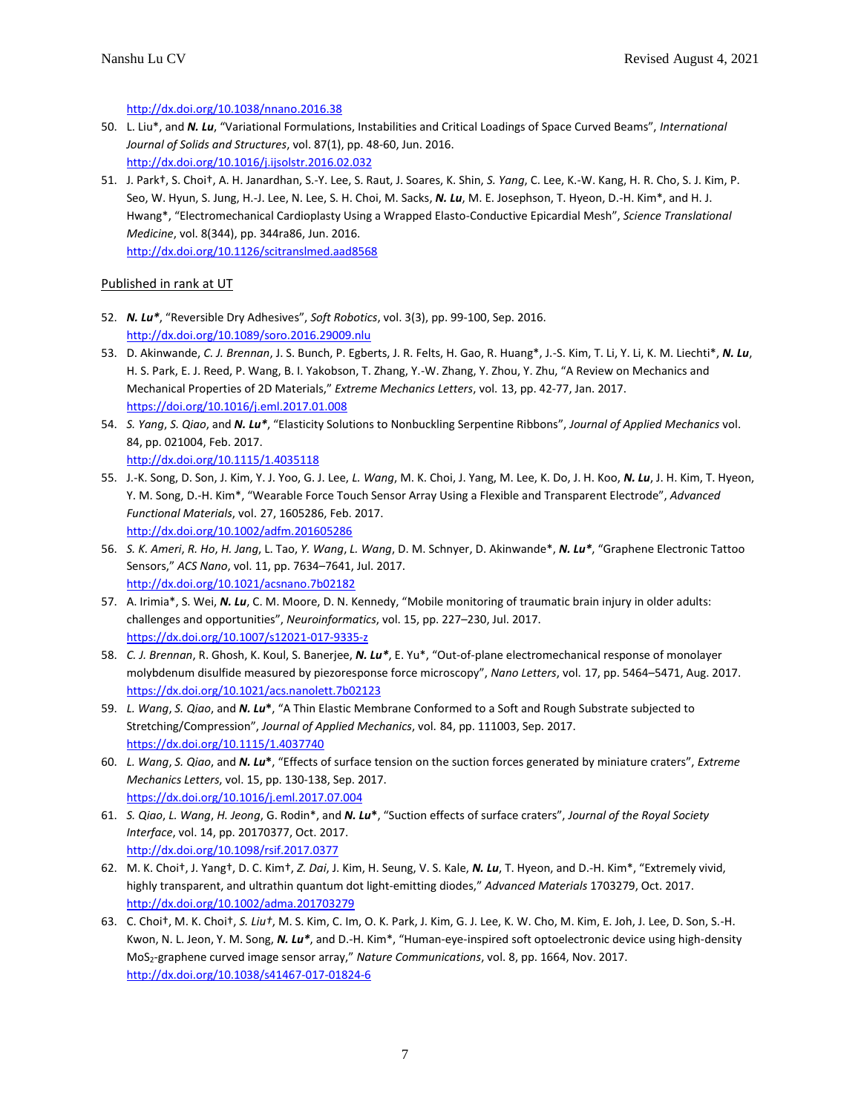<http://dx.doi.org/10.1038/nnano.2016.38>

- 50. L. Liu\*, and *N. Lu*, "Variational Formulations, Instabilities and Critical Loadings of Space Curved Beams", *International Journal of Solids and Structures*, vol. 87(1), pp. 48-60, Jun. 2016. <http://dx.doi.org/10.1016/j.ijsolstr.2016.02.032>
- 51. J. Park†, S. Choi†, A. H. Janardhan, S.-Y. Lee, S. Raut, J. Soares, K. Shin, *S. Yang*, C. Lee, K.-W. Kang, H. R. Cho, S. J. Kim, P. Seo, W. Hyun, S. Jung, H.-J. Lee, N. Lee, S. H. Choi, M. Sacks, *N. Lu*, M. E. Josephson, T. Hyeon, D.-H. Kim\*, and H. J. Hwang\*, "Electromechanical Cardioplasty Using a Wrapped Elasto-Conductive Epicardial Mesh", *Science Translational Medicine*, vol. 8(344), pp. 344ra86, Jun. 2016. <http://dx.doi.org/10.1126/scitranslmed.aad8568>

# Published in rank at UT

- 52. *N. Lu\**, "Reversible Dry Adhesives", *Soft Robotics*, vol. 3(3), pp. 99-100, Sep. 2016. <http://dx.doi.org/10.1089/soro.2016.29009.nlu>
- 53. D. Akinwande, *C. J. Brennan*, J. S. Bunch, P. Egberts, J. R. Felts, H. Gao, R. Huang\*, J.-S. Kim, T. Li, Y. Li, K. M. Liechti\*, *N. Lu*, H. S. Park, E. J. Reed, P. Wang, B. I. Yakobson, T. Zhang, Y.-W. Zhang, Y. Zhou, Y. Zhu, "A Review on Mechanics and Mechanical Properties of 2D Materials," *Extreme Mechanics Letters*, vol. 13, pp. 42-77, Jan. 2017. <https://doi.org/10.1016/j.eml.2017.01.008>
- 54. *S. Yang*, *S. Qiao*, and *N. Lu\**, "Elasticity Solutions to Nonbuckling Serpentine Ribbons", *Journal of Applied Mechanics* vol. 84, pp. 021004, Feb. 2017.

```
http://dx.doi.org/10.1115/1.4035118
```
- 55. J.-K. Song, D. Son, J. Kim, Y. J. Yoo, G. J. Lee, *L. Wang*, M. K. Choi, J. Yang, M. Lee, K. Do, J. H. Koo, *N. Lu*, J. H. Kim, T. Hyeon, Y. M. Song, D.-H. Kim\*, "Wearable Force Touch Sensor Array Using a Flexible and Transparent Electrode", *Advanced Functional Materials*, vol. 27, 1605286, Feb. 2017. <http://dx.doi.org/10.1002/adfm.201605286>
- 56. *S. K. Ameri*, *R. Ho*, *H. Jang*, L. Tao, *Y. Wang*, *L. Wang*, D. M. Schnyer, D. Akinwande\*, *N. Lu\**, "Graphene Electronic Tattoo Sensors," *ACS Nano*, vol. 11, pp. 7634–7641, Jul. 2017. <http://dx.doi.org/10.1021/acsnano.7b02182>
- 57. A. Irimia\*, S. Wei, *N. Lu*, C. M. Moore, D. N. Kennedy, "Mobile monitoring of traumatic brain injury in older adults: challenges and opportunities", *Neuroinformatics*, vol. 15, pp. 227–230, Jul. 2017. <https://dx.doi.org/10.1007/s12021-017-9335-z>
- 58. *C. J. Brennan*, R. Ghosh, K. Koul, S. Banerjee, *N. Lu\**, E. Yu\*, "Out-of-plane electromechanical response of monolayer molybdenum disulfide measured by piezoresponse force microscopy", *Nano Letters*, vol. 17, pp. 5464–5471, Aug. 2017. <https://dx.doi.org/10.1021/acs.nanolett.7b02123>
- 59. *L. Wang*, *S. Qiao*, and *N. Lu***\***, "A Thin Elastic Membrane Conformed to a Soft and Rough Substrate subjected to Stretching/Compression", *Journal of Applied Mechanics*, vol. 84, pp. 111003, Sep. 2017. <https://dx.doi.org/10.1115/1.4037740>
- 60. *L. Wang*, *S. Qiao*, and *N. Lu***\***, "Effects of surface tension on the suction forces generated by miniature craters", *Extreme Mechanics Letters*, vol. 15, pp. 130-138, Sep. 2017. <https://dx.doi.org/10.1016/j.eml.2017.07.004>
- 61. *S. Qiao*, *L. Wang*, *H. Jeong*, G. Rodin\*, and *N. Lu***\***, "Suction effects of surface craters", *Journal of the Royal Society Interface*, vol. 14, pp. 20170377, Oct. 2017. <http://dx.doi.org/10.1098/rsif.2017.0377>
- 62. M. K. Choi†, J. Yang†, D. C. Kim†, *Z. Dai*, J. Kim, H. Seung, V. S. Kale, *N. Lu*, T. Hyeon, and D.-H. Kim\*, "Extremely vivid, highly transparent, and ultrathin quantum dot light-emitting diodes," *Advanced Materials* 1703279, Oct. 2017. <http://dx.doi.org/10.1002/adma.201703279>
- 63. C. Choi†, M. K. Choi†, *S. Liu†*, M. S. Kim, C. Im, O. K. Park, J. Kim, G. J. Lee, K. W. Cho, M. Kim, E. Joh, J. Lee, D. Son, S.-H. Kwon, N. L. Jeon, Y. M. Song, *N. Lu\**, and D.-H. Kim\*, "Human-eye-inspired soft optoelectronic device using high-density MoS2-graphene curved image sensor array," *Nature Communications*, vol. 8, pp. 1664, Nov. 2017. <http://dx.doi.org/10.1038/s41467-017-01824-6>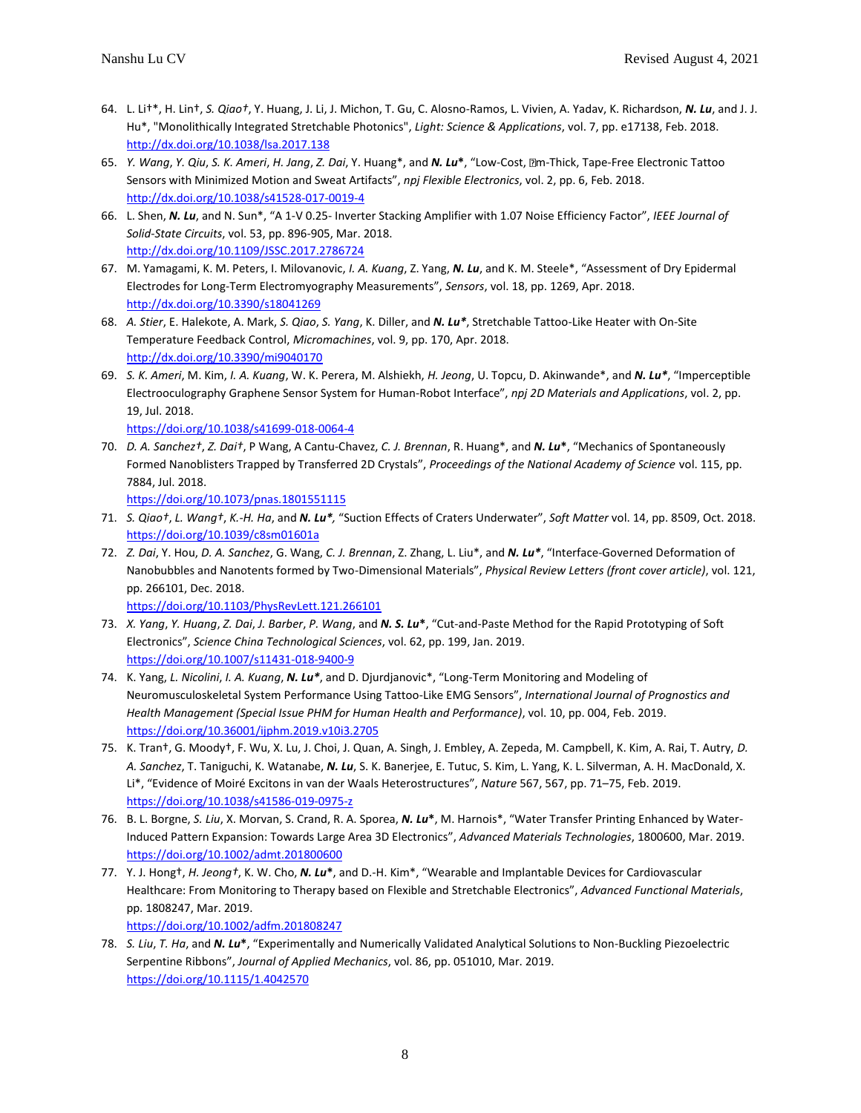- 64. L. Li†\*, H. Lin†, *S. Qiao†*, Y. Huang, J. Li, J. Michon, T. Gu, C. Alosno-Ramos, L. Vivien, A. Yadav, K. Richardson, *N. Lu*, and J. J. Hu\*, "Monolithically Integrated Stretchable Photonics", *Light: Science & Applications*, vol. 7, pp. e17138, Feb. 2018. <http://dx.doi.org/10.1038/lsa.2017.138>
- 65. *Y. Wang*, *Y. Qiu*, *S. K. Ameri*, *H. Jang*, *Z. Dai*, Y. Huang\*, and *N. Lu***\***, "Low-Cost, m-Thick, Tape-Free Electronic Tattoo Sensors with Minimized Motion and Sweat Artifacts", *npj Flexible Electronics*, vol. 2, pp. 6, Feb. 2018. <http://dx.doi.org/10.1038/s41528-017-0019-4>
- 66. L. Shen, *N. Lu*, and N. Sun\*, "A 1-V 0.25- Inverter Stacking Amplifier with 1.07 Noise Efficiency Factor", *IEEE Journal of Solid-State Circuits*, vol. 53, pp. 896-905, Mar. 2018. <http://dx.doi.org/10.1109/JSSC.2017.2786724>
- 67. M. Yamagami, K. M. Peters, I. Milovanovic, *I. A. Kuang*, Z. Yang, *N. Lu*, and K. M. Steele\*, "Assessment of Dry Epidermal Electrodes for Long-Term Electromyography Measurements", *Sensors*, vol. 18, pp. 1269, Apr. 2018. <http://dx.doi.org/10.3390/s18041269>
- 68. *A. Stier*, E. Halekote, A. Mark, *S. Qiao*, *S. Yang*, K. Diller, and *N. Lu\**, Stretchable Tattoo-Like Heater with On-Site Temperature Feedback Control, *Micromachines*, vol. 9, pp. 170, Apr. 2018. <http://dx.doi.org/10.3390/mi9040170>
- 69. *S. K. Ameri*, M. Kim, *I. A. Kuang*, W. K. Perera, M. Alshiekh, *H. Jeong*, U. Topcu, D. Akinwande\*, and *N. Lu\**, "Imperceptible Electrooculography Graphene Sensor System for Human-Robot Interface", *npj 2D Materials and Applications*, vol. 2, pp. 19, Jul. 2018.

<https://doi.org/10.1038/s41699-018-0064-4>

70. *D. A. Sanchez†*, *Z. Dai†*, P Wang, A Cantu-Chavez, *C. J. Brennan*, R. Huang\*, and *N. Lu***\***, "Mechanics of Spontaneously Formed Nanoblisters Trapped by Transferred 2D Crystals", *Proceedings of the National Academy of Science* vol. 115, pp. 7884, Jul. 2018.

<https://doi.org/10.1073/pnas.1801551115>

- 71. *S. Qiao†*, *L. Wang†*, *K.-H. Ha*, and *N. Lu\*,* "Suction Effects of Craters Underwater", *Soft Matter* vol. 14, pp. 8509, Oct. 2018. <https://doi.org/10.1039/c8sm01601a>
- 72. *Z. Dai*, Y. Hou, *D. A. Sanchez*, G. Wang, *C. J. Brennan*, Z. Zhang, L. Liu\*, and *N. Lu\**, "Interface-Governed Deformation of Nanobubbles and Nanotents formed by Two-Dimensional Materials", *Physical Review Letters (front cover article)*, vol. 121, pp. 266101, Dec. 2018.

<https://doi.org/10.1103/PhysRevLett.121.266101>

- 73. *X. Yang*, *Y. Huang*, *Z. Dai*, *J. Barber*, *P. Wang*, and *N. S. Lu***\***, "Cut-and-Paste Method for the Rapid Prototyping of Soft Electronics", *Science China Technological Sciences*, vol. 62, pp. 199, Jan. 2019. <https://doi.org/10.1007/s11431-018-9400-9>
- 74. K. Yang, *L. Nicolini*, *I. A. Kuang*, *N. Lu\**, and D. Djurdjanovic\*, "Long-Term Monitoring and Modeling of Neuromusculoskeletal System Performance Using Tattoo-Like EMG Sensors", *International Journal of Prognostics and Health Management (Special Issue PHM for Human Health and Performance)*, vol. 10, pp. 004, Feb. 2019. https://doi.org/10.36001/ijphm.2019.v10i3.2705
- 75. K. Tran†, G. Moody†, F. Wu, X. Lu, J. Choi, J. Quan, A. Singh, J. Embley, A. Zepeda, M. Campbell, K. Kim, A. Rai, T. Autry, *D. A. Sanchez*, T. Taniguchi, K. Watanabe, *N. Lu*, S. K. Banerjee, E. Tutuc, S. Kim, L. Yang, K. L. Silverman, A. H. MacDonald, X. Li\*, "Evidence of Moiré Excitons in van der Waals Heterostructures", *Nature* 567, 567, pp. 71–75, Feb. 2019. <https://doi.org/10.1038/s41586-019-0975-z>
- 76. B. L. Borgne, *S. Liu*, X. Morvan, S. Crand, R. A. Sporea, *N. Lu***\***, M. Harnois\*, "Water Transfer Printing Enhanced by Water-Induced Pattern Expansion: Towards Large Area 3D Electronics", *Advanced Materials Technologies*, 1800600, Mar. 2019. <https://doi.org/10.1002/admt.201800600>
- 77. Y. J. Hong†, *H. Jeong†*, K. W. Cho, *N. Lu***\***, and D.-H. Kim\*, "Wearable and Implantable Devices for Cardiovascular Healthcare: From Monitoring to Therapy based on Flexible and Stretchable Electronics", *Advanced Functional Materials*, pp. 1808247, Mar. 2019. <https://doi.org/10.1002/adfm.201808247>
- 78. *S. Liu*, *T. Ha*, and *N. Lu***\***, "Experimentally and Numerically Validated Analytical Solutions to Non-Buckling Piezoelectric Serpentine Ribbons", *Journal of Applied Mechanics*, vol. 86, pp. 051010, Mar. 2019. <https://doi.org/10.1115/1.4042570>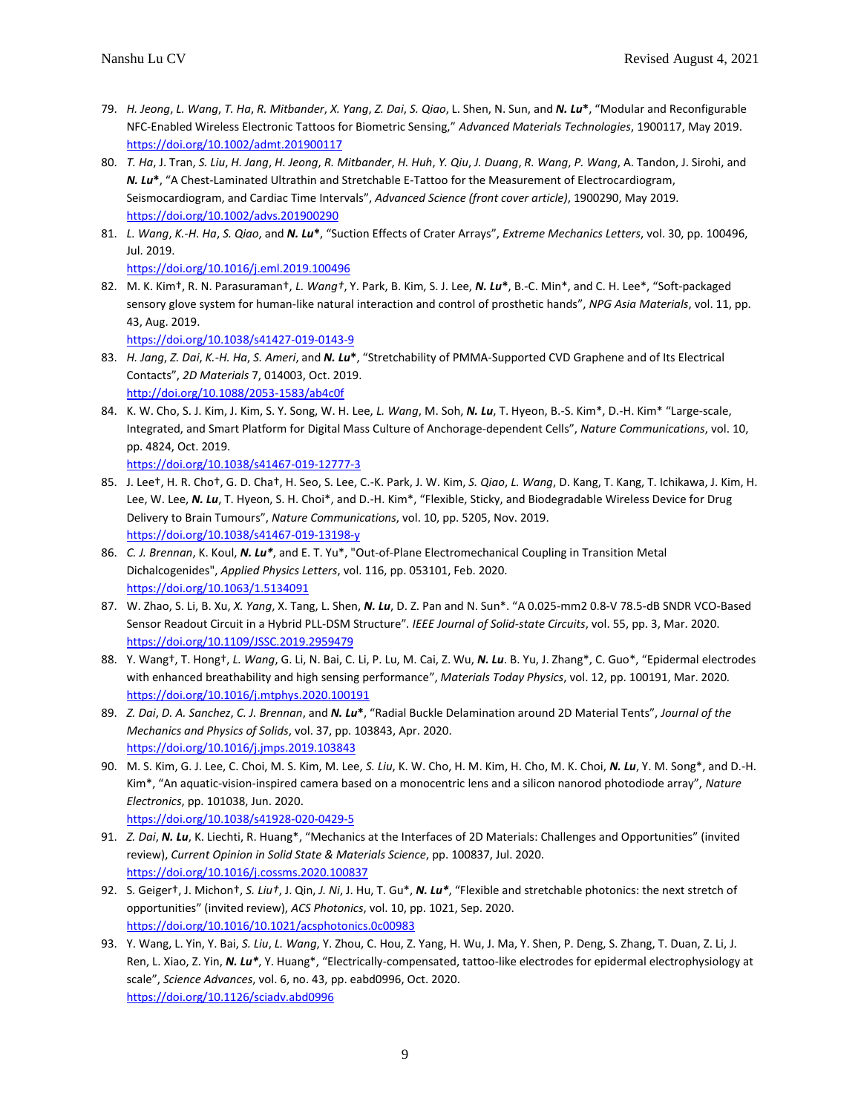- 79. *H. Jeong*, *L. Wang*, *T. Ha*, *R. Mitbander*, *X. Yang*, *Z. Dai*, *S. Qiao*, L. Shen, N. Sun, and *N. Lu***\***, "Modular and Reconfigurable NFC-Enabled Wireless Electronic Tattoos for Biometric Sensing," *Advanced Materials Technologies*, 1900117, May 2019. <https://doi.org/10.1002/admt.201900117>
- 80. *T. Ha*, J. Tran, *S. Liu*, *H. Jang*, *H. Jeong*, *R. Mitbander*, *H. Huh*, *Y. Qiu*, *J. Duang*, *R. Wang*, *P. Wang*, A. Tandon, J. Sirohi, and *N. Lu***\***, "A Chest-Laminated Ultrathin and Stretchable E-Tattoo for the Measurement of Electrocardiogram, Seismocardiogram, and Cardiac Time Intervals", *Advanced Science (front cover article)*, 1900290, May 2019. <https://doi.org/10.1002/advs.201900290>
- 81. *L. Wang*, *K.-H. Ha*, *S. Qiao*, and *N. Lu***\***, "Suction Effects of Crater Arrays", *Extreme Mechanics Letters*, vol. 30, pp. 100496, Jul. 2019.

<https://doi.org/10.1016/j.eml.2019.100496>

82. M. K. Kim†, R. N. Parasuraman†, *L. Wang†*, Y. Park, B. Kim, S. J. Lee, *N. Lu***\***, B.-C. Min\*, and C. H. Lee\*, "Soft-packaged sensory glove system for human-like natural interaction and control of prosthetic hands", *NPG Asia Materials*, vol. 11, pp. 43, Aug. 2019.

<https://doi.org/10.1038/s41427-019-0143-9>

- 83. *H. Jang*, *Z. Dai*, *K.-H. Ha*, *S. Ameri*, and *N. Lu***\***, "Stretchability of PMMA-Supported CVD Graphene and of Its Electrical Contacts", *2D Materials* 7, 014003, Oct. 2019. <http://doi.org/10.1088/2053-1583/ab4c0f>
- 84. K. W. Cho, S. J. Kim, J. Kim, S. Y. Song, W. H. Lee, *L. Wang*, M. Soh, *N. Lu*, T. Hyeon, B.-S. Kim\*, D.-H. Kim\* "Large-scale, Integrated, and Smart Platform for Digital Mass Culture of Anchorage-dependent Cells", *Nature Communications*, vol. 10, pp. 4824, Oct. 2019.

```
https://doi.org/10.1038/s41467-019-12777-3
```
- 85. J. Lee†, H. R. Cho†, G. D. Cha†, H. Seo, S. Lee, C.-K. Park, J. W. Kim, *S. Qiao*, *L. Wang*, D. Kang, T. Kang, T. Ichikawa, J. Kim, H. Lee, W. Lee, *N. Lu*, T. Hyeon, S. H. Choi\*, and D.-H. Kim\*, "Flexible, Sticky, and Biodegradable Wireless Device for Drug Delivery to Brain Tumours", *Nature Communications*, vol. 10, pp. 5205, Nov. 2019. <https://doi.org/10.1038/s41467-019-13198-y>
- 86. *C. J. Brennan*, K. Koul, *N. Lu\**, and E. T. Yu\*, "Out-of-Plane Electromechanical Coupling in Transition Metal Dichalcogenides", *Applied Physics Letters*, vol. 116, pp. 053101, Feb. 2020. <https://doi.org/10.1063/1.5134091>
- 87. W. Zhao, S. Li, B. Xu, *X. Yang*, X. Tang, L. Shen, *N. Lu*, D. Z. Pan and N. Sun\*. "A 0.025-mm2 0.8-V 78.5-dB SNDR VCO-Based Sensor Readout Circuit in a Hybrid PLL-DSM Structure"*. IEEE Journal of Solid-state Circuits*, vol. 55, pp. 3, Mar. 2020. <https://doi.org/10.1109/JSSC.2019.2959479>
- 88. Y. Wang†, T. Hong†, *L. Wang*, G. Li, N. Bai, C. Li, P. Lu, M. Cai, Z. Wu, *N. Lu*. B. Yu, J. Zhang\*, C. Guo\*, "Epidermal electrodes with enhanced breathability and high sensing performance", *Materials Today Physics*, vol. 12, pp. 100191, Mar. 2020*.* <https://doi.org/10.1016/j.mtphys.2020.100191>
- 89. *Z. Dai*, *D. A. Sanchez*, *C. J. Brennan*, and *N. Lu***\***, "Radial Buckle Delamination around 2D Material Tents", *Journal of the Mechanics and Physics of Solids*, vol. 37, pp. 103843, Apr. 2020. <https://doi.org/10.1016/j.jmps.2019.103843>
- 90. M. S. Kim, G. J. Lee, C. Choi, M. S. Kim, M. Lee, *S. Liu*, K. W. Cho, H. M. Kim, H. Cho, M. K. Choi, *N. Lu*, Y. M. Song\*, and D.-H. Kim\*, "An aquatic-vision-inspired camera based on a monocentric lens and a silicon nanorod photodiode array", *Nature Electronics*, pp. 101038, Jun. 2020. <https://doi.org/10.1038/s41928-020-0429-5>
- 91. *Z. Dai*, *N. Lu*, K. Liechti, R. Huang\*, "Mechanics at the Interfaces of 2D Materials: Challenges and Opportunities" (invited review), *Current Opinion in Solid State & Materials Science*, pp. 100837, Jul. 2020. <https://doi.org/10.1016/j.cossms.2020.100837>
- 92. S. Geiger†, J. Michon†, *S. Liu†*, J. Qin, *J. Ni*, J. Hu, T. Gu\*, *N. Lu\**, "Flexible and stretchable photonics: the next stretch of opportunities" (invited review), *ACS Photonics*, vol. 10, pp. 1021, Sep. 2020. <https://doi.org/10.1016/10.1021/acsphotonics.0c00983>
- 93. Y. Wang, L. Yin, Y. Bai, *S. Liu*, *L. Wang*, Y. Zhou, C. Hou, Z. Yang, H. Wu, J. Ma, Y. Shen, P. Deng, S. Zhang, T. Duan, Z. Li, J. Ren, L. Xiao, Z. Yin, *N. Lu\**, Y. Huang\*, "Electrically-compensated, tattoo-like electrodes for epidermal electrophysiology at scale", *Science Advances*, vol. 6, no. 43, pp. eabd0996, Oct. 2020. <https://doi.org/10.1126/sciadv.abd0996>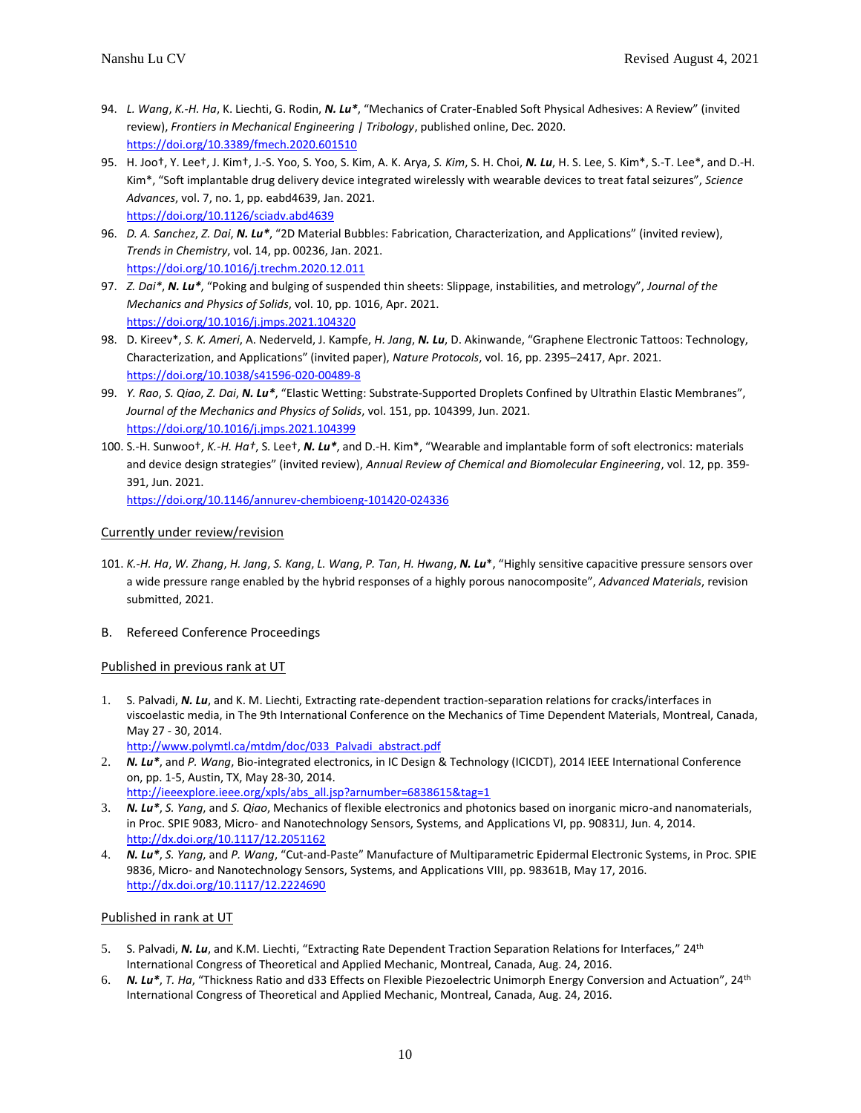- 94. *L. Wang*, *K.-H. Ha*, K. Liechti, G. Rodin, *N. Lu\**, "Mechanics of Crater-Enabled Soft Physical Adhesives: A Review" (invited review), *Frontiers in Mechanical Engineering | Tribology*, published online, Dec. 2020. <https://doi.org/10.3389/fmech.2020.601510>
- 95. H. Joo†, Y. Lee†, J. Kim†, J.-S. Yoo, S. Yoo, S. Kim, A. K. Arya, *S. Kim*, S. H. Choi, *N. Lu*, H. S. Lee, S. Kim\*, S.-T. Lee\*, and D.-H. Kim\*, "Soft implantable drug delivery device integrated wirelessly with wearable devices to treat fatal seizures", *Science Advances*, vol. 7, no. 1, pp. eabd4639, Jan. 2021. <https://doi.org/10.1126/sciadv.abd4639>
- 96. *D. A. Sanchez*, *Z. Dai*, *N. Lu\**, "2D Material Bubbles: Fabrication, Characterization, and Applications" (invited review), *Trends in Chemistry*, vol. 14, pp. 00236, Jan. 2021. <https://doi.org/10.1016/j.trechm.2020.12.011>
- 97. *Z. Dai\**, *N. Lu\**, "Poking and bulging of suspended thin sheets: Slippage, instabilities, and metrology", *Journal of the Mechanics and Physics of Solids*, vol. 10, pp. 1016, Apr. 2021. <https://doi.org/10.1016/j.jmps.2021.104320>
- 98. D. Kireev\*, *S. K. Ameri*, A. Nederveld, J. Kampfe, *H. Jang*, *N. Lu*, D. Akinwande, "Graphene Electronic Tattoos: Technology, Characterization, and Applications" (invited paper), *Nature Protocols*, vol. 16, pp. 2395–2417, Apr. 2021. <https://doi.org/10.1038/s41596-020-00489-8>
- 99. *Y. Rao*, *S. Qiao*, *Z. Dai*, *N. Lu\**, "Elastic Wetting: Substrate-Supported Droplets Confined by Ultrathin Elastic Membranes", *Journal of the Mechanics and Physics of Solids*, vol. 151, pp. 104399, Jun. 2021. <https://doi.org/10.1016/j.jmps.2021.104399>
- 100. S.-H. Sunwoo†, *K.-H. Ha†*, S. Lee†, *N. Lu\**, and D.-H. Kim\*, "Wearable and implantable form of soft electronics: materials and device design strategies" (invited review), *Annual Review of Chemical and Biomolecular Engineering*, vol. 12, pp. 359- 391, Jun. 2021.

<https://doi.org/10.1146/annurev-chembioeng-101420-024336>

# Currently under review/revision

- 101. *K.-H. Ha*, *W. Zhang*, *H. Jang*, *S. Kang*, *L. Wang*, *P. Tan*, *H. Hwang*, *N. Lu*\*, "Highly sensitive capacitive pressure sensors over a wide pressure range enabled by the hybrid responses of a highly porous nanocomposite", *Advanced Materials*, revision submitted, 2021.
- B. Refereed Conference Proceedings

#### Published in previous rank at UT

- 1. S. Palvadi, *N. Lu*, and K. M. Liechti, Extracting rate-dependent traction-separation relations for cracks/interfaces in viscoelastic media, in The 9th International Conference on the Mechanics of Time Dependent Materials, Montreal, Canada, May 27 - 30, 2014.
	- [http://www.polymtl.ca/mtdm/doc/033\\_Palvadi\\_abstract.pdf](http://www.polymtl.ca/mtdm/doc/033_Palvadi_abstract.pdf)
- 2. *N. Lu\**, and *P. Wang*, Bio-integrated electronics, in IC Design & Technology (ICICDT), 2014 IEEE International Conference on, pp. 1-5, Austin, TX, May 28-30, 2014. [http://ieeexplore.ieee.org/xpls/abs\\_all.jsp?arnumber=6838615&tag=1](http://ieeexplore.ieee.org/xpls/abs_all.jsp?arnumber=6838615&tag=1)
- 3. *N. Lu\**, *S. Yang*, and *S. Qiao*, Mechanics of flexible electronics and photonics based on inorganic micro-and nanomaterials, in Proc. SPIE 9083, Micro- and Nanotechnology Sensors, Systems, and Applications VI, pp. 90831J, Jun. 4, 2014. <http://dx.doi.org/10.1117/12.2051162>
- 4. *N. Lu\**, *S. Yang*, and *P. Wang*, "Cut-and-Paste" Manufacture of Multiparametric Epidermal Electronic Systems, in Proc. SPIE 9836, Micro- and Nanotechnology Sensors, Systems, and Applications VIII, pp. 98361B, May 17, 2016. <http://dx.doi.org/10.1117/12.2224690>

#### Published in rank at UT

- 5. S. Palvadi, *N. Lu*, and K.M. Liechti, "Extracting Rate Dependent Traction Separation Relations for Interfaces," 24th International Congress of Theoretical and Applied Mechanic, Montreal, Canada, Aug. 24, 2016.
- 6. *N. Lu\**, *T. Ha*, "Thickness Ratio and d33 Effects on Flexible Piezoelectric Unimorph Energy Conversion and Actuation", 24th International Congress of Theoretical and Applied Mechanic, Montreal, Canada, Aug. 24, 2016.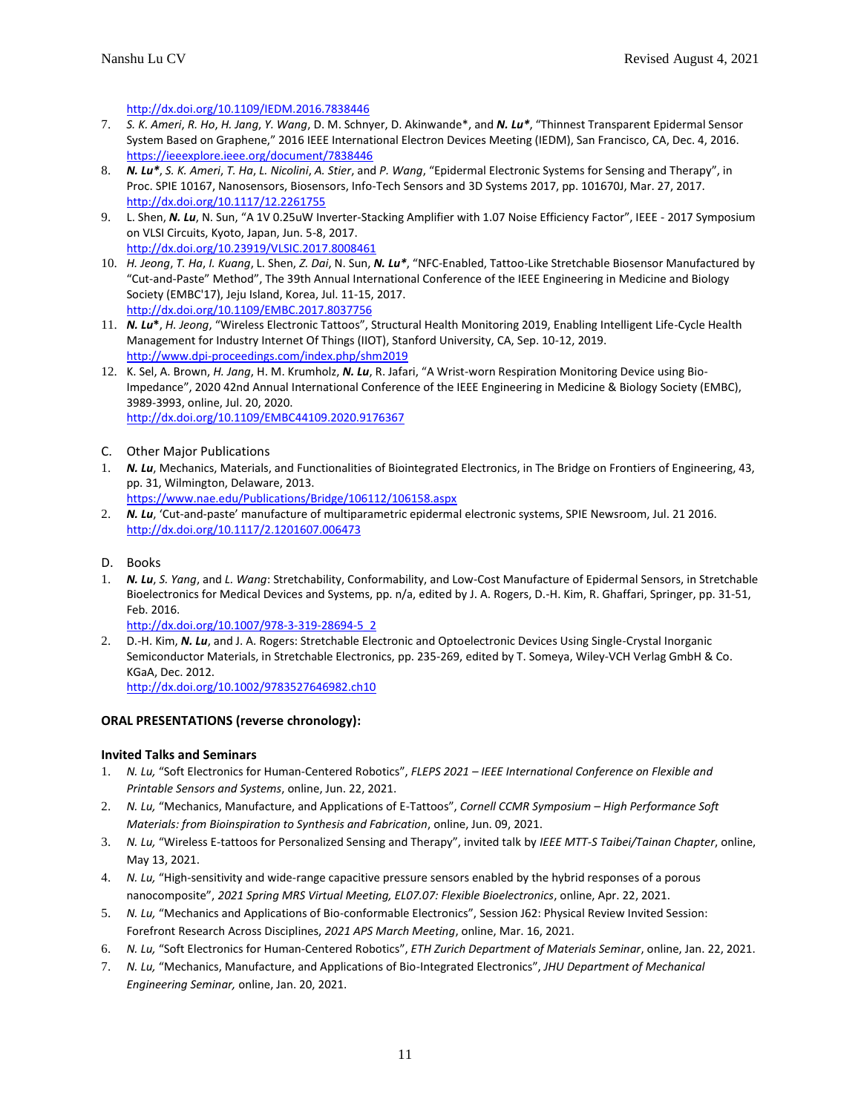<http://dx.doi.org/10.1109/IEDM.2016.7838446>

- 7. *S. K. Ameri*, *R. Ho*, *H. Jang*, *Y. Wang*, D. M. Schnyer, D. Akinwande\*, and *N. Lu\**, "Thinnest Transparent Epidermal Sensor System Based on Graphene," 2016 IEEE International Electron Devices Meeting (IEDM), San Francisco, CA, Dec. 4, 2016. <https://ieeexplore.ieee.org/document/7838446>
- 8. *N. Lu\**, *S. K. Ameri*, *T. Ha*, *L. Nicolini*, *A. Stier*, and *P. Wang*, "Epidermal Electronic Systems for Sensing and Therapy", in Proc. SPIE 10167, Nanosensors, Biosensors, Info-Tech Sensors and 3D Systems 2017, pp. 101670J, Mar. 27, 2017. <http://dx.doi.org/10.1117/12.2261755>
- 9. L. Shen, *N. Lu*, N. Sun, "A 1V 0.25uW Inverter-Stacking Amplifier with 1.07 Noise Efficiency Factor", IEEE 2017 Symposium on VLSI Circuits, Kyoto, Japan, Jun. 5-8, 2017. <http://dx.doi.org/10.23919/VLSIC.2017.8008461>
- 10. *H. Jeong*, *T. Ha*, *I. Kuang*, L. Shen, *Z. Dai*, N. Sun, *N. Lu\**, "NFC-Enabled, Tattoo-Like Stretchable Biosensor Manufactured by "Cut-and-Paste" Method", The 39th Annual International Conference of the IEEE Engineering in Medicine and Biology Society (EMBC'17), Jeju Island, Korea, Jul. 11-15, 2017. <http://dx.doi.org/10.1109/EMBC.2017.8037756>
- 11. *N. Lu***\***, *H. Jeong*, "Wireless Electronic Tattoos", Structural Health Monitoring 2019, Enabling Intelligent Life-Cycle Health Management for Industry Internet Of Things (IIOT), Stanford University, CA, Sep. 10-12, 2019. <http://www.dpi-proceedings.com/index.php/shm2019>
- 12. K. Sel, A. Brown, *H. Jang*, H. M. Krumholz, *N. Lu*, R. Jafari, "A Wrist-worn Respiration Monitoring Device using Bio-Impedance", 2020 42nd Annual International Conference of the IEEE Engineering in Medicine & Biology Society (EMBC), 3989-3993, online, Jul. 20, 2020. <http://dx.doi.org/10.1109/EMBC44109.2020.9176367>
- C. Other Major Publications
- 1. *N. Lu*, Mechanics, Materials, and Functionalities of Biointegrated Electronics, in The Bridge on Frontiers of Engineering, 43, pp. 31, Wilmington, Delaware, 2013.
	- [https://www.nae.edu/Publications/Bridge/106112/106158.aspx](http://www.nae.edu/Publications/Bridge/106112/106158.aspx)
- 2. *N. Lu*, 'Cut-and-paste' manufacture of multiparametric epidermal electronic systems, SPIE Newsroom, Jul. 21 2016. <http://dx.doi.org/10.1117/2.1201607.006473>
- D. Books
- 1. *N. Lu*, *S. Yang*, and *L. Wang*: Stretchability, Conformability, and Low-Cost Manufacture of Epidermal Sensors, in Stretchable Bioelectronics for Medical Devices and Systems, pp. n/a, edited by J. A. Rogers, D.-H. Kim, R. Ghaffari, Springer, pp. 31-51, Feb. 2016.
	- [http://dx.doi.org/10.1007/978-3-319-28694-5\\_2](http://dx.doi.org/10.1007/978-3-319-28694-5_2)
- 2. D.-H. Kim, *N. Lu*, and J. A. Rogers: Stretchable Electronic and Optoelectronic Devices Using Single-Crystal Inorganic Semiconductor Materials, in Stretchable Electronics, pp. 235-269, edited by T. Someya, Wiley-VCH Verlag GmbH & Co. KGaA, Dec. 2012. <http://dx.doi.org/10.1002/9783527646982.ch10>

**ORAL PRESENTATIONS (reverse chronology):**

#### **Invited Talks and Seminars**

- 1. *N. Lu,* "Soft Electronics for Human-Centered Robotics", *FLEPS 2021 – IEEE International Conference on Flexible and Printable Sensors and Systems*, online, Jun. 22, 2021.
- 2. *N. Lu,* "Mechanics, Manufacture, and Applications of E-Tattoos", *Cornell CCMR Symposium – High Performance Soft Materials: from Bioinspiration to Synthesis and Fabrication*, online, Jun. 09, 2021.
- 3. *N. Lu,* "Wireless E-tattoos for Personalized Sensing and Therapy", invited talk by *IEEE MTT-S Taibei/Tainan Chapter*, online, May 13, 2021.
- 4. *N. Lu,* "High-sensitivity and wide-range capacitive pressure sensors enabled by the hybrid responses of a porous nanocomposite", *2021 Spring MRS Virtual Meeting, EL07.07: Flexible Bioelectronics*, online, Apr. 22, 2021.
- 5. *N. Lu,* "Mechanics and Applications of Bio-conformable Electronics", Session J62: Physical Review Invited Session: Forefront Research Across Disciplines, *2021 APS March Meeting*, online, Mar. 16, 2021.
- 6. *N. Lu,* "Soft Electronics for Human-Centered Robotics", *ETH Zurich Department of Materials Seminar*, online, Jan. 22, 2021.
- 7. *N. Lu,* "Mechanics, Manufacture, and Applications of Bio-Integrated Electronics", *JHU Department of Mechanical Engineering Seminar,* online, Jan. 20, 2021.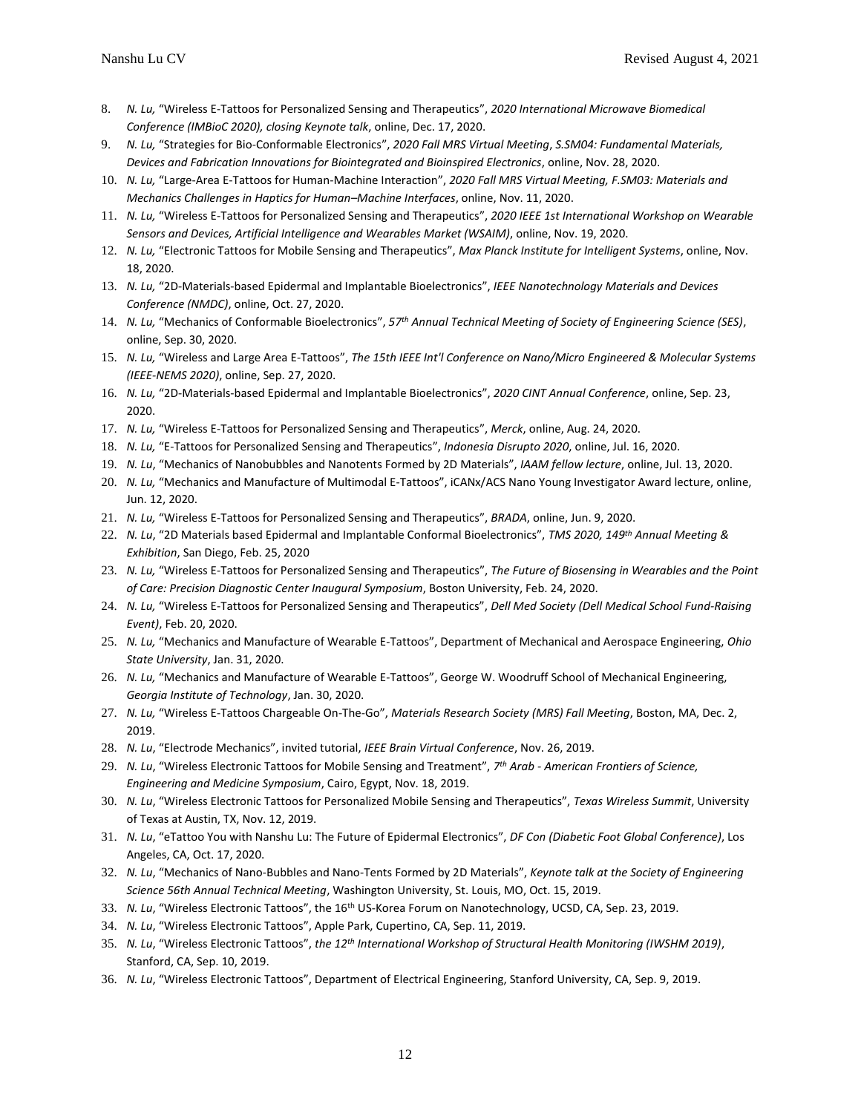- 8. *N. Lu,* "Wireless E-Tattoos for Personalized Sensing and Therapeutics", *2020 International Microwave Biomedical Conference (IMBioC 2020), closing Keynote talk*, online, Dec. 17, 2020.
- 9. *N. Lu,* "Strategies for Bio-Conformable Electronics", *2020 Fall MRS Virtual Meeting*, *S.SM04: Fundamental Materials, Devices and Fabrication Innovations for Biointegrated and Bioinspired Electronics*, online, Nov. 28, 2020.
- 10. *N. Lu,* "Large-Area E-Tattoos for Human-Machine Interaction", *2020 Fall MRS Virtual Meeting, F.SM03: Materials and Mechanics Challenges in Haptics for Human–Machine Interfaces*, online, Nov. 11, 2020.
- 11. *N. Lu,* "Wireless E-Tattoos for Personalized Sensing and Therapeutics", *2020 IEEE 1st International Workshop on Wearable Sensors and Devices, Artificial Intelligence and Wearables Market (WSAIM)*, online, Nov. 19, 2020.
- 12. *N. Lu,* "Electronic Tattoos for Mobile Sensing and Therapeutics", *Max Planck Institute for Intelligent Systems*, online, Nov. 18, 2020.
- 13. *N. Lu,* "2D-Materials-based Epidermal and Implantable Bioelectronics", *IEEE Nanotechnology Materials and Devices Conference (NMDC)*, online, Oct. 27, 2020.
- 14. *N. Lu,* "Mechanics of Conformable Bioelectronics", *57th Annual Technical Meeting of Society of Engineering Science (SES)*, online, Sep. 30, 2020.
- 15. *N. Lu,* "Wireless and Large Area E-Tattoos", *The 15th IEEE Int'l Conference on Nano/Micro Engineered & Molecular Systems (IEEE-NEMS 2020)*, online, Sep. 27, 2020.
- 16. *N. Lu,* "2D-Materials-based Epidermal and Implantable Bioelectronics", *2020 CINT Annual Conference*, online, Sep. 23, 2020.
- 17. *N. Lu,* "Wireless E-Tattoos for Personalized Sensing and Therapeutics", *Merck*, online, Aug. 24, 2020.
- 18. *N. Lu,* "E-Tattoos for Personalized Sensing and Therapeutics", *Indonesia Disrupto 2020*, online, Jul. 16, 2020.
- 19. *N. Lu*, "Mechanics of Nanobubbles and Nanotents Formed by 2D Materials", *IAAM fellow lecture*, online, Jul. 13, 2020.
- 20. *N. Lu,* "Mechanics and Manufacture of Multimodal E-Tattoos", iCANx/ACS Nano Young Investigator Award lecture, online, Jun. 12, 2020.
- 21. *N. Lu,* "Wireless E-Tattoos for Personalized Sensing and Therapeutics", *BRADA*, online, Jun. 9, 2020.
- 22. *N. Lu*, "2D Materials based Epidermal and Implantable Conformal Bioelectronics", *TMS 2020, 149th Annual Meeting & Exhibition*, San Diego, Feb. 25, 2020
- 23. *N. Lu,* "Wireless E-Tattoos for Personalized Sensing and Therapeutics", *The Future of Biosensing in Wearables and the Point of Care: Precision Diagnostic Center Inaugural Symposium*, Boston University, Feb. 24, 2020.
- 24. *N. Lu,* "Wireless E-Tattoos for Personalized Sensing and Therapeutics", *Dell Med Society (Dell Medical School Fund-Raising Event)*, Feb. 20, 2020.
- 25. *N. Lu,* "Mechanics and Manufacture of Wearable E-Tattoos", Department of Mechanical and Aerospace Engineering, *Ohio State University*, Jan. 31, 2020.
- 26. *N. Lu,* "Mechanics and Manufacture of Wearable E-Tattoos", George W. Woodruff School of Mechanical Engineering, *Georgia Institute of Technology*, Jan. 30, 2020.
- 27. *N. Lu,* "Wireless E-Tattoos Chargeable On-The-Go", *Materials Research Society (MRS) Fall Meeting*, Boston, MA, Dec. 2, 2019.
- 28. *N. Lu*, "Electrode Mechanics", invited tutorial, *IEEE Brain Virtual Conference*, Nov. 26, 2019.
- 29. *N. Lu*, "Wireless Electronic Tattoos for Mobile Sensing and Treatment", *7 th Arab - American Frontiers of Science, Engineering and Medicine Symposium*, Cairo, Egypt, Nov. 18, 2019.
- 30. *N. Lu*, "Wireless Electronic Tattoos for Personalized Mobile Sensing and Therapeutics", *Texas Wireless Summit*, University of Texas at Austin, TX, Nov. 12, 2019.
- 31. *N. Lu*, "eTattoo You with Nanshu Lu: The Future of Epidermal Electronics", *DF Con (Diabetic Foot Global Conference)*, Los Angeles, CA, Oct. 17, 2020.
- 32. *N. Lu*, "Mechanics of Nano-Bubbles and Nano-Tents Formed by 2D Materials", *Keynote talk at the Society of Engineering Science 56th Annual Technical Meeting*, Washington University, St. Louis, MO, Oct. 15, 2019.
- 33. *N. Lu*, "Wireless Electronic Tattoos", the 16th US-Korea Forum on Nanotechnology, UCSD, CA, Sep. 23, 2019.
- 34. *N. Lu*, "Wireless Electronic Tattoos", Apple Park, Cupertino, CA, Sep. 11, 2019.
- 35. *N. Lu*, "Wireless Electronic Tattoos", *the 12th International Workshop of Structural Health Monitoring (IWSHM 2019)*, Stanford, CA, Sep. 10, 2019.
- 36. *N. Lu*, "Wireless Electronic Tattoos", Department of Electrical Engineering, Stanford University, CA, Sep. 9, 2019.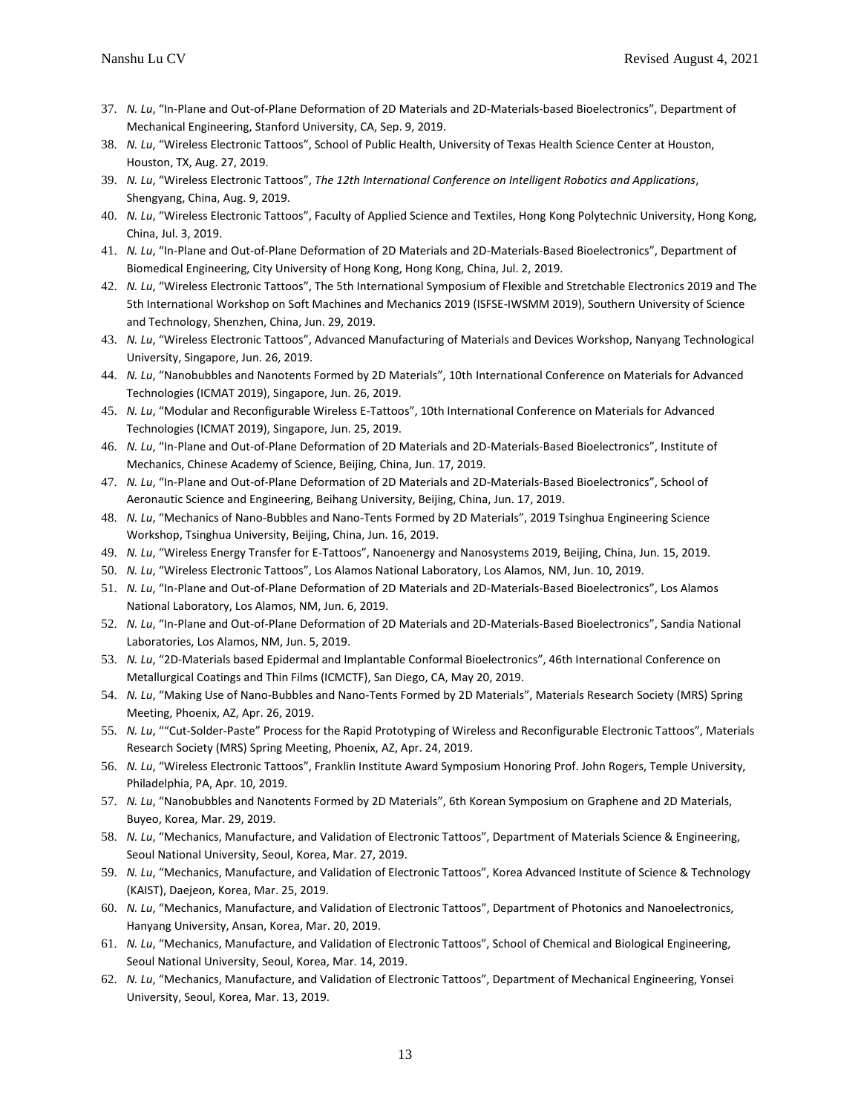- 37. *N. Lu*, "In-Plane and Out-of-Plane Deformation of 2D Materials and 2D-Materials-based Bioelectronics", Department of Mechanical Engineering, Stanford University, CA, Sep. 9, 2019.
- 38. *N. Lu*, "Wireless Electronic Tattoos", School of Public Health, University of Texas Health Science Center at Houston, Houston, TX, Aug. 27, 2019.
- 39. *N. Lu*, "Wireless Electronic Tattoos", *The 12th International Conference on Intelligent Robotics and Applications*, Shengyang, China, Aug. 9, 2019.
- 40. *N. Lu*, "Wireless Electronic Tattoos", Faculty of Applied Science and Textiles, Hong Kong Polytechnic University, Hong Kong, China, Jul. 3, 2019.
- 41. *N. Lu*, "In-Plane and Out-of-Plane Deformation of 2D Materials and 2D-Materials-Based Bioelectronics", Department of Biomedical Engineering, City University of Hong Kong, Hong Kong, China, Jul. 2, 2019.
- 42. *N. Lu*, "Wireless Electronic Tattoos", The 5th International Symposium of Flexible and Stretchable Electronics 2019 and The 5th International Workshop on Soft Machines and Mechanics 2019 (ISFSE-IWSMM 2019), Southern University of Science and Technology, Shenzhen, China, Jun. 29, 2019.
- 43. *N. Lu*, "Wireless Electronic Tattoos", Advanced Manufacturing of Materials and Devices Workshop, Nanyang Technological University, Singapore, Jun. 26, 2019.
- 44. *N. Lu*, "Nanobubbles and Nanotents Formed by 2D Materials", 10th International Conference on Materials for Advanced Technologies (ICMAT 2019), Singapore, Jun. 26, 2019.
- 45. *N. Lu*, "Modular and Reconfigurable Wireless E-Tattoos", 10th International Conference on Materials for Advanced Technologies (ICMAT 2019), Singapore, Jun. 25, 2019.
- 46. *N. Lu*, "In-Plane and Out-of-Plane Deformation of 2D Materials and 2D-Materials-Based Bioelectronics", Institute of Mechanics, Chinese Academy of Science, Beijing, China, Jun. 17, 2019.
- 47. *N. Lu*, "In-Plane and Out-of-Plane Deformation of 2D Materials and 2D-Materials-Based Bioelectronics", School of Aeronautic Science and Engineering, Beihang University, Beijing, China, Jun. 17, 2019.
- 48. *N. Lu*, "Mechanics of Nano-Bubbles and Nano-Tents Formed by 2D Materials", 2019 Tsinghua Engineering Science Workshop, Tsinghua University, Beijing, China, Jun. 16, 2019.
- 49. *N. Lu*, "Wireless Energy Transfer for E-Tattoos", Nanoenergy and Nanosystems 2019, Beijing, China, Jun. 15, 2019.
- 50. *N. Lu*, "Wireless Electronic Tattoos", Los Alamos National Laboratory, Los Alamos, NM, Jun. 10, 2019.
- 51. *N. Lu*, "In-Plane and Out-of-Plane Deformation of 2D Materials and 2D-Materials-Based Bioelectronics", Los Alamos National Laboratory, Los Alamos, NM, Jun. 6, 2019.
- 52. *N. Lu*, "In-Plane and Out-of-Plane Deformation of 2D Materials and 2D-Materials-Based Bioelectronics", Sandia National Laboratories, Los Alamos, NM, Jun. 5, 2019.
- 53. *N. Lu*, "2D-Materials based Epidermal and Implantable Conformal Bioelectronics", 46th International Conference on Metallurgical Coatings and Thin Films (ICMCTF), San Diego, CA, May 20, 2019.
- 54. *N. Lu*, "Making Use of Nano-Bubbles and Nano-Tents Formed by 2D Materials", Materials Research Society (MRS) Spring Meeting, Phoenix, AZ, Apr. 26, 2019.
- 55. *N. Lu*, ""Cut-Solder-Paste" Process for the Rapid Prototyping of Wireless and Reconfigurable Electronic Tattoos", Materials Research Society (MRS) Spring Meeting, Phoenix, AZ, Apr. 24, 2019.
- 56. *N. Lu*, "Wireless Electronic Tattoos", Franklin Institute Award Symposium Honoring Prof. John Rogers, Temple University, Philadelphia, PA, Apr. 10, 2019.
- 57. *N. Lu*, "Nanobubbles and Nanotents Formed by 2D Materials", 6th Korean Symposium on Graphene and 2D Materials, Buyeo, Korea, Mar. 29, 2019.
- 58. *N. Lu*, "Mechanics, Manufacture, and Validation of Electronic Tattoos", Department of Materials Science & Engineering, Seoul National University, Seoul, Korea, Mar. 27, 2019.
- 59. *N. Lu*, "Mechanics, Manufacture, and Validation of Electronic Tattoos", Korea Advanced Institute of Science & Technology (KAIST), Daejeon, Korea, Mar. 25, 2019.
- 60. *N. Lu*, "Mechanics, Manufacture, and Validation of Electronic Tattoos", Department of Photonics and Nanoelectronics, Hanyang University, Ansan, Korea, Mar. 20, 2019.
- 61. *N. Lu*, "Mechanics, Manufacture, and Validation of Electronic Tattoos", School of Chemical and Biological Engineering, Seoul National University, Seoul, Korea, Mar. 14, 2019.
- 62. *N. Lu*, "Mechanics, Manufacture, and Validation of Electronic Tattoos", Department of Mechanical Engineering, Yonsei University, Seoul, Korea, Mar. 13, 2019.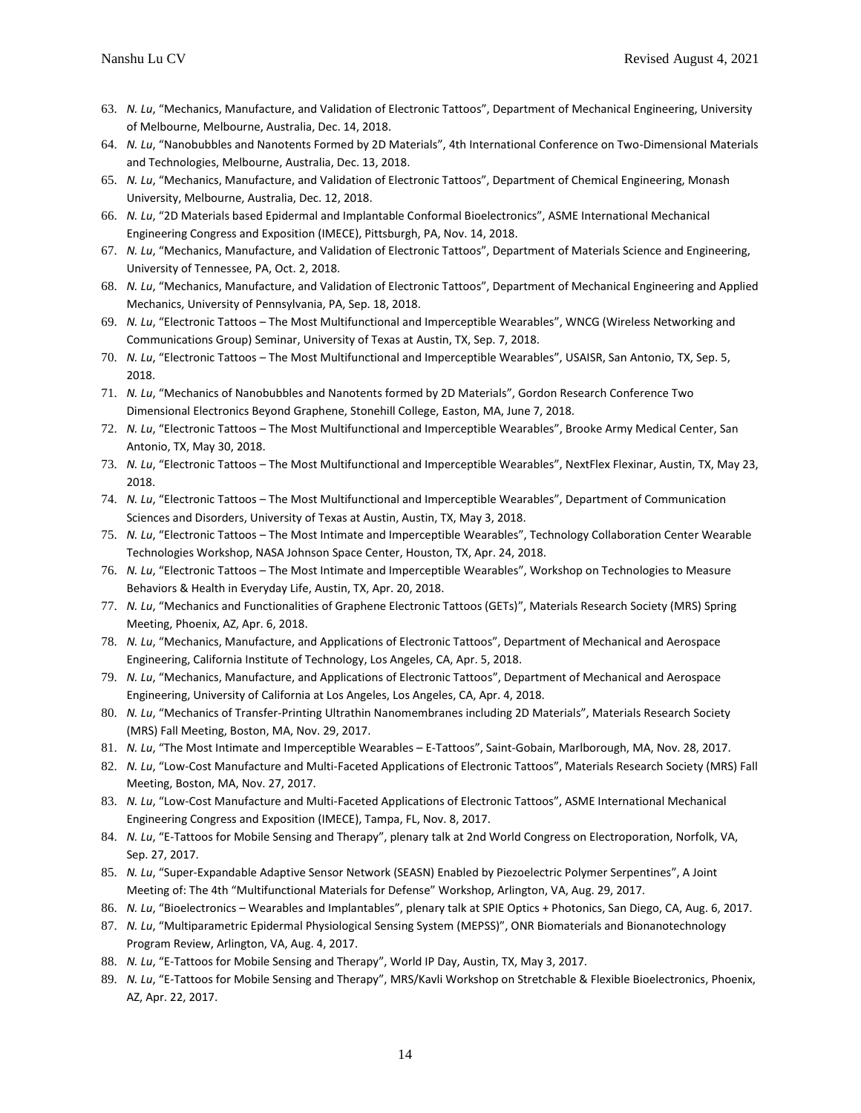- 63. *N. Lu*, "Mechanics, Manufacture, and Validation of Electronic Tattoos", Department of Mechanical Engineering, University of Melbourne, Melbourne, Australia, Dec. 14, 2018.
- 64. *N. Lu*, "Nanobubbles and Nanotents Formed by 2D Materials", 4th International Conference on Two-Dimensional Materials and Technologies, Melbourne, Australia, Dec. 13, 2018.
- 65. *N. Lu*, "Mechanics, Manufacture, and Validation of Electronic Tattoos", Department of Chemical Engineering, Monash University, Melbourne, Australia, Dec. 12, 2018.
- 66. *N. Lu*, "2D Materials based Epidermal and Implantable Conformal Bioelectronics", ASME International Mechanical Engineering Congress and Exposition (IMECE), Pittsburgh, PA, Nov. 14, 2018.
- 67. *N. Lu*, "Mechanics, Manufacture, and Validation of Electronic Tattoos", Department of Materials Science and Engineering, University of Tennessee, PA, Oct. 2, 2018.
- 68. *N. Lu*, "Mechanics, Manufacture, and Validation of Electronic Tattoos", Department of Mechanical Engineering and Applied Mechanics, University of Pennsylvania, PA, Sep. 18, 2018.
- 69. *N. Lu*, "Electronic Tattoos The Most Multifunctional and Imperceptible Wearables", WNCG (Wireless Networking and Communications Group) Seminar, University of Texas at Austin, TX, Sep. 7, 2018.
- 70. *N. Lu*, "Electronic Tattoos The Most Multifunctional and Imperceptible Wearables", USAISR, San Antonio, TX, Sep. 5, 2018.
- 71. *N. Lu*, "Mechanics of Nanobubbles and Nanotents formed by 2D Materials", Gordon Research Conference Two Dimensional Electronics Beyond Graphene, Stonehill College, Easton, MA, June 7, 2018.
- 72. *N. Lu*, "Electronic Tattoos The Most Multifunctional and Imperceptible Wearables", Brooke Army Medical Center, San Antonio, TX, May 30, 2018.
- 73. *N. Lu*, "Electronic Tattoos The Most Multifunctional and Imperceptible Wearables", NextFlex Flexinar, Austin, TX, May 23, 2018.
- 74. *N. Lu*, "Electronic Tattoos The Most Multifunctional and Imperceptible Wearables", Department of Communication Sciences and Disorders, University of Texas at Austin, Austin, TX, May 3, 2018.
- 75. *N. Lu*, "Electronic Tattoos The Most Intimate and Imperceptible Wearables", Technology Collaboration Center Wearable Technologies Workshop, NASA Johnson Space Center, Houston, TX, Apr. 24, 2018.
- 76. *N. Lu*, "Electronic Tattoos The Most Intimate and Imperceptible Wearables", Workshop on Technologies to Measure Behaviors & Health in Everyday Life, Austin, TX, Apr. 20, 2018.
- 77. *N. Lu*, "Mechanics and Functionalities of Graphene Electronic Tattoos (GETs)", Materials Research Society (MRS) Spring Meeting, Phoenix, AZ, Apr. 6, 2018.
- 78. *N. Lu*, "Mechanics, Manufacture, and Applications of Electronic Tattoos", Department of Mechanical and Aerospace Engineering, California Institute of Technology, Los Angeles, CA, Apr. 5, 2018.
- 79. *N. Lu*, "Mechanics, Manufacture, and Applications of Electronic Tattoos", Department of Mechanical and Aerospace Engineering, University of California at Los Angeles, Los Angeles, CA, Apr. 4, 2018.
- 80. *N. Lu*, "Mechanics of Transfer-Printing Ultrathin Nanomembranes including 2D Materials", Materials Research Society (MRS) Fall Meeting, Boston, MA, Nov. 29, 2017.
- 81. *N. Lu*, "The Most Intimate and Imperceptible Wearables E-Tattoos", Saint-Gobain, Marlborough, MA, Nov. 28, 2017.
- 82. *N. Lu*, "Low-Cost Manufacture and Multi-Faceted Applications of Electronic Tattoos", Materials Research Society (MRS) Fall Meeting, Boston, MA, Nov. 27, 2017.
- 83. *N. Lu*, "Low-Cost Manufacture and Multi-Faceted Applications of Electronic Tattoos", ASME International Mechanical Engineering Congress and Exposition (IMECE), Tampa, FL, Nov. 8, 2017.
- 84. *N. Lu*, "E-Tattoos for Mobile Sensing and Therapy", plenary talk at 2nd World Congress on Electroporation, Norfolk, VA, Sep. 27, 2017.
- 85. *N. Lu*, "Super-Expandable Adaptive Sensor Network (SEASN) Enabled by Piezoelectric Polymer Serpentines", A Joint Meeting of: The 4th "Multifunctional Materials for Defense" Workshop, Arlington, VA, Aug. 29, 2017.
- 86. *N. Lu*, "Bioelectronics Wearables and Implantables", plenary talk at SPIE Optics + Photonics, San Diego, CA, Aug. 6, 2017.
- 87. *N. Lu*, "Multiparametric Epidermal Physiological Sensing System (MEPSS)", ONR Biomaterials and Bionanotechnology Program Review, Arlington, VA, Aug. 4, 2017.
- 88. *N. Lu*, "E-Tattoos for Mobile Sensing and Therapy", World IP Day, Austin, TX, May 3, 2017.
- 89. *N. Lu*, "E-Tattoos for Mobile Sensing and Therapy", MRS/Kavli Workshop on Stretchable & Flexible Bioelectronics, Phoenix, AZ, Apr. 22, 2017.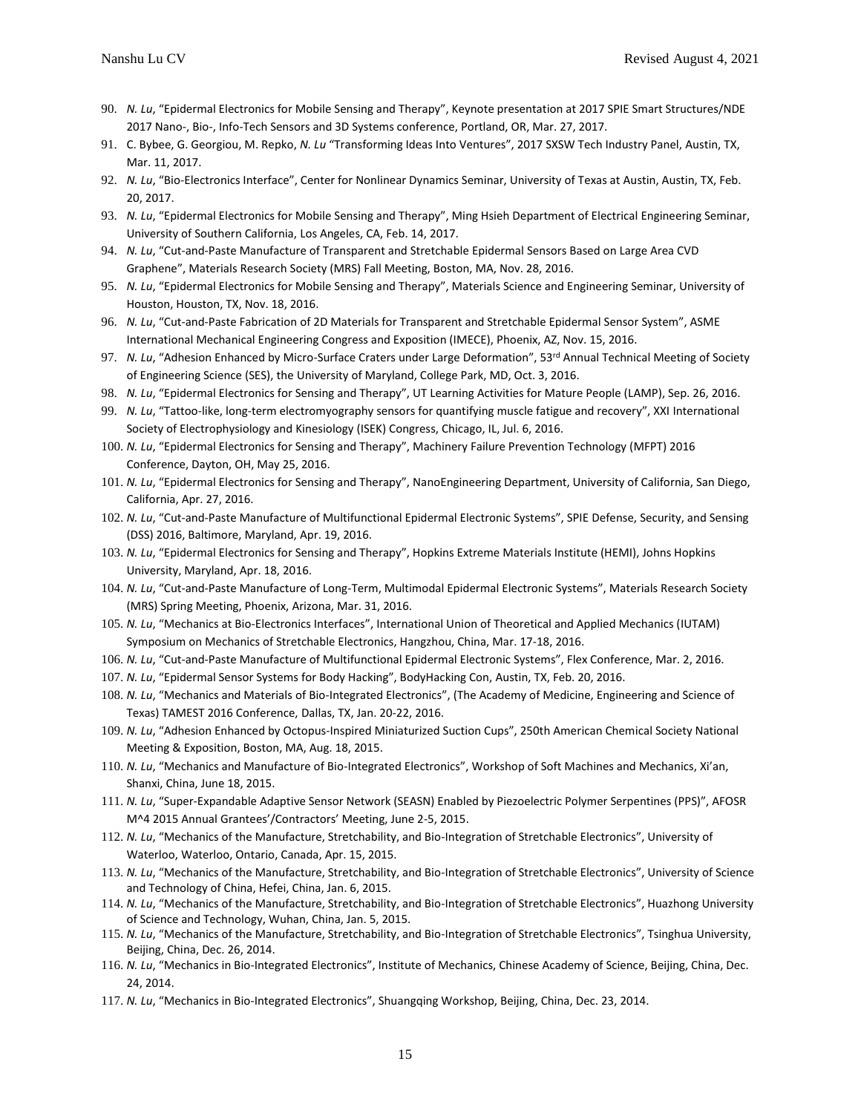- 90. *N. Lu*, "Epidermal Electronics for Mobile Sensing and Therapy", Keynote presentation at 2017 SPIE Smart Structures/NDE 2017 Nano-, Bio-, Info-Tech Sensors and 3D Systems conference, Portland, OR, Mar. 27, 2017.
- 91. C. Bybee, G. Georgiou, M. Repko, *N. Lu* "Transforming Ideas Into Ventures", 2017 SXSW Tech Industry Panel, Austin, TX, Mar. 11, 2017.
- 92. *N. Lu*, "Bio-Electronics Interface", Center for Nonlinear Dynamics Seminar, University of Texas at Austin, Austin, TX, Feb. 20, 2017.
- 93. *N. Lu*, "Epidermal Electronics for Mobile Sensing and Therapy", Ming Hsieh Department of Electrical Engineering Seminar, University of Southern California, Los Angeles, CA, Feb. 14, 2017.
- 94. *N. Lu*, "Cut-and-Paste Manufacture of Transparent and Stretchable Epidermal Sensors Based on Large Area CVD Graphene", Materials Research Society (MRS) Fall Meeting, Boston, MA, Nov. 28, 2016.
- 95. *N. Lu*, "Epidermal Electronics for Mobile Sensing and Therapy", Materials Science and Engineering Seminar, University of Houston, Houston, TX, Nov. 18, 2016.
- 96. *N. Lu*, "Cut-and-Paste Fabrication of 2D Materials for Transparent and Stretchable Epidermal Sensor System", ASME International Mechanical Engineering Congress and Exposition (IMECE), Phoenix, AZ, Nov. 15, 2016.
- 97. N. Lu, "Adhesion Enhanced by Micro-Surface Craters under Large Deformation", 53<sup>rd</sup> Annual Technical Meeting of Society of Engineering Science (SES), the University of Maryland, College Park, MD, Oct. 3, 2016.
- 98. *N. Lu*, "Epidermal Electronics for Sensing and Therapy", UT Learning Activities for Mature People (LAMP), Sep. 26, 2016.
- 99. *N. Lu*, "Tattoo-like, long-term electromyography sensors for quantifying muscle fatigue and recovery", XXI International Society of Electrophysiology and Kinesiology (ISEK) Congress, Chicago, IL, Jul. 6, 2016.
- 100. *N. Lu*, "Epidermal Electronics for Sensing and Therapy", Machinery Failure Prevention Technology (MFPT) 2016 Conference, Dayton, OH, May 25, 2016.
- 101. *N. Lu*, "Epidermal Electronics for Sensing and Therapy", NanoEngineering Department, University of California, San Diego, California, Apr. 27, 2016.
- 102. *N. Lu*, "Cut-and-Paste Manufacture of Multifunctional Epidermal Electronic Systems", SPIE Defense, Security, and Sensing (DSS) 2016, Baltimore, Maryland, Apr. 19, 2016.
- 103. *N. Lu*, "Epidermal Electronics for Sensing and Therapy", Hopkins Extreme Materials Institute (HEMI), Johns Hopkins University, Maryland, Apr. 18, 2016.
- 104. *N. Lu*, "Cut-and-Paste Manufacture of Long-Term, Multimodal Epidermal Electronic Systems", Materials Research Society (MRS) Spring Meeting, Phoenix, Arizona, Mar. 31, 2016.
- 105. *N. Lu*, "Mechanics at Bio-Electronics Interfaces", International Union of Theoretical and Applied Mechanics (IUTAM) Symposium on Mechanics of Stretchable Electronics, Hangzhou, China, Mar. 17-18, 2016.
- 106. *N. Lu*, "Cut-and-Paste Manufacture of Multifunctional Epidermal Electronic Systems", Flex Conference, Mar. 2, 2016.
- 107. *N. Lu*, "Epidermal Sensor Systems for Body Hacking", BodyHacking Con, Austin, TX, Feb. 20, 2016.
- 108. *N. Lu*, "Mechanics and Materials of Bio-Integrated Electronics", (The Academy of Medicine, Engineering and Science of Texas) TAMEST 2016 Conference, Dallas, TX, Jan. 20-22, 2016.
- 109. *N. Lu*, "Adhesion Enhanced by Octopus-Inspired Miniaturized Suction Cups", 250th American Chemical Society National Meeting & Exposition, Boston, MA, Aug. 18, 2015.
- 110. *N. Lu*, "Mechanics and Manufacture of Bio-Integrated Electronics", Workshop of Soft Machines and Mechanics, Xi'an, Shanxi, China, June 18, 2015.
- 111. *N. Lu*, "Super-Expandable Adaptive Sensor Network (SEASN) Enabled by Piezoelectric Polymer Serpentines (PPS)", AFOSR M^4 2015 Annual Grantees'/Contractors' Meeting, June 2-5, 2015.
- 112. *N. Lu*, "Mechanics of the Manufacture, Stretchability, and Bio-Integration of Stretchable Electronics", University of Waterloo, Waterloo, Ontario, Canada, Apr. 15, 2015.
- 113. *N. Lu*, "Mechanics of the Manufacture, Stretchability, and Bio-Integration of Stretchable Electronics", University of Science and Technology of China, Hefei, China, Jan. 6, 2015.
- 114. *N. Lu*, "Mechanics of the Manufacture, Stretchability, and Bio-Integration of Stretchable Electronics", Huazhong University of Science and Technology, Wuhan, China, Jan. 5, 2015.
- 115. *N. Lu*, "Mechanics of the Manufacture, Stretchability, and Bio-Integration of Stretchable Electronics", Tsinghua University, Beijing, China, Dec. 26, 2014.
- 116. *N. Lu*, "Mechanics in Bio-Integrated Electronics", Institute of Mechanics, Chinese Academy of Science, Beijing, China, Dec. 24, 2014.
- 117. *N. Lu*, "Mechanics in Bio-Integrated Electronics", Shuangqing Workshop, Beijing, China, Dec. 23, 2014.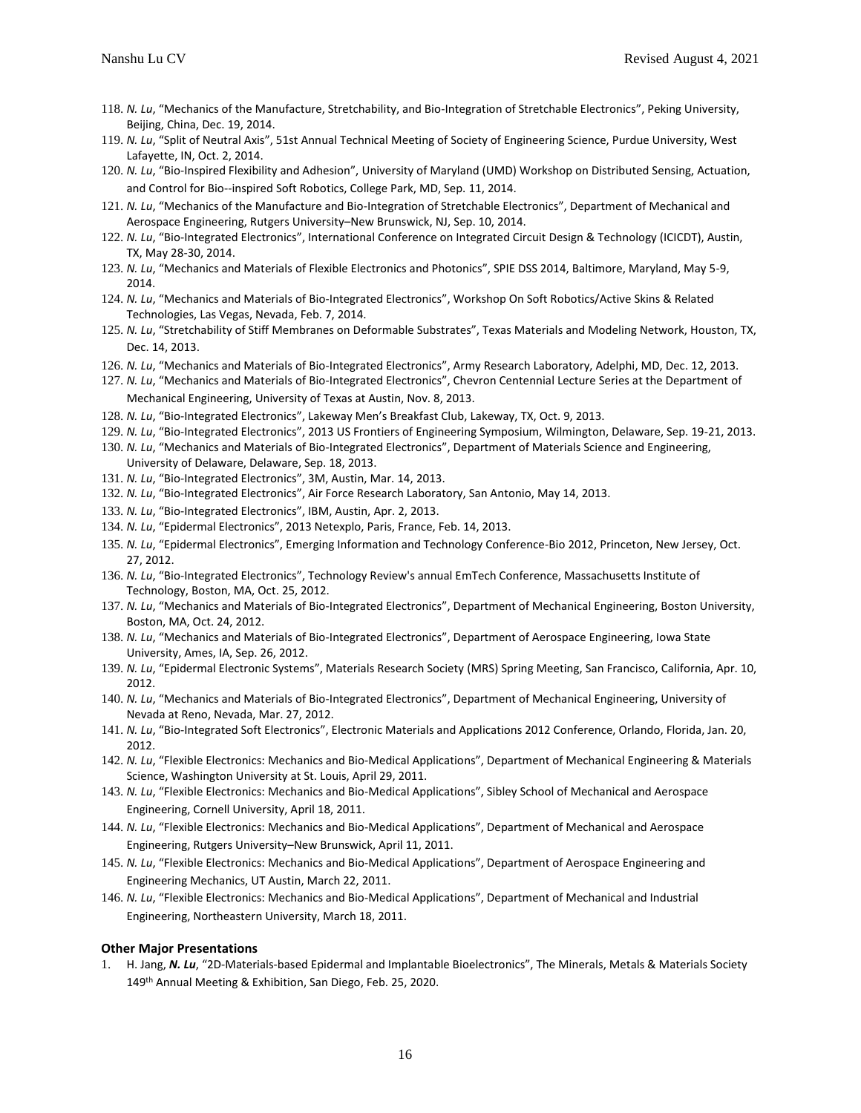- 118. *N. Lu*, "Mechanics of the Manufacture, Stretchability, and Bio-Integration of Stretchable Electronics", Peking University, Beijing, China, Dec. 19, 2014.
- 119. *N. Lu*, "Split of Neutral Axis", 51st Annual Technical Meeting of Society of Engineering Science, Purdue University, West Lafayette, IN, Oct. 2, 2014.
- 120. *N. Lu*, "Bio-Inspired Flexibility and Adhesion", University of Maryland (UMD) Workshop on Distributed Sensing, Actuation, and Control for Bio--inspired Soft Robotics, College Park, MD, Sep. 11, 2014.
- 121. *N. Lu*, "Mechanics of the Manufacture and Bio-Integration of Stretchable Electronics", Department of Mechanical and Aerospace Engineering, Rutgers University–New Brunswick, NJ, Sep. 10, 2014.
- 122. *N. Lu*, "Bio-Integrated Electronics", International Conference on Integrated Circuit Design & Technology (ICICDT), Austin, TX, May 28-30, 2014.
- 123. *N. Lu*, "Mechanics and Materials of Flexible Electronics and Photonics", SPIE DSS 2014, Baltimore, Maryland, May 5-9, 2014.
- 124. *N. Lu*, "Mechanics and Materials of Bio-Integrated Electronics", Workshop On Soft Robotics/Active Skins & Related Technologies, Las Vegas, Nevada, Feb. 7, 2014.
- 125. *N. Lu*, "Stretchability of Stiff Membranes on Deformable Substrates", Texas Materials and Modeling Network, Houston, TX, Dec. 14, 2013.
- 126. *N. Lu*, "Mechanics and Materials of Bio-Integrated Electronics", Army Research Laboratory, Adelphi, MD, Dec. 12, 2013.
- 127. *N. Lu*, "Mechanics and Materials of Bio-Integrated Electronics", Chevron Centennial Lecture Series at the Department of Mechanical Engineering, University of Texas at Austin, Nov. 8, 2013.
- 128. *N. Lu*, "Bio-Integrated Electronics", Lakeway Men's Breakfast Club, Lakeway, TX, Oct. 9, 2013.
- 129. *N. Lu*, "Bio-Integrated Electronics", 2013 US Frontiers of Engineering Symposium, Wilmington, Delaware, Sep. 19-21, 2013.
- 130. *N. Lu*, "Mechanics and Materials of Bio-Integrated Electronics", Department of Materials Science and Engineering, University of Delaware, Delaware, Sep. 18, 2013.
- 131. *N. Lu*, "Bio-Integrated Electronics", 3M, Austin, Mar. 14, 2013.
- 132. *N. Lu*, "Bio-Integrated Electronics", Air Force Research Laboratory, San Antonio, May 14, 2013.
- 133. *N. Lu*, "Bio-Integrated Electronics", IBM, Austin, Apr. 2, 2013.
- 134. *N. Lu*, "Epidermal Electronics", 2013 Netexplo, Paris, France, Feb. 14, 2013.
- 135. *N. Lu*, "Epidermal Electronics", Emerging Information and Technology Conference-Bio 2012, Princeton, New Jersey, Oct. 27, 2012.
- 136. *N. Lu*, "Bio-Integrated Electronics", Technology Review's annual EmTech Conference, Massachusetts Institute of Technology, Boston, MA, Oct. 25, 2012.
- 137. *N. Lu*, "Mechanics and Materials of Bio-Integrated Electronics", Department of Mechanical Engineering, Boston University, Boston, MA, Oct. 24, 2012.
- 138. *N. Lu*, "Mechanics and Materials of Bio-Integrated Electronics", Department of Aerospace Engineering, Iowa State University, Ames, IA, Sep. 26, 2012.
- 139. *N. Lu*, "Epidermal Electronic Systems", Materials Research Society (MRS) Spring Meeting, San Francisco, California, Apr. 10, 2012.
- 140. *N. Lu*, "Mechanics and Materials of Bio-Integrated Electronics", Department of Mechanical Engineering, University of Nevada at Reno, Nevada, Mar. 27, 2012.
- 141. *N. Lu*, "Bio-Integrated Soft Electronics", Electronic Materials and Applications 2012 Conference, Orlando, Florida, Jan. 20, 2012.
- 142. *N. Lu*, "Flexible Electronics: Mechanics and Bio-Medical Applications", Department of Mechanical Engineering & Materials Science, Washington University at St. Louis, April 29, 2011.
- 143. *N. Lu*, "Flexible Electronics: Mechanics and Bio-Medical Applications", Sibley School of Mechanical and Aerospace Engineering, Cornell University, April 18, 2011.
- 144. *N. Lu*, "Flexible Electronics: Mechanics and Bio-Medical Applications", Department of Mechanical and Aerospace Engineering, Rutgers University–New Brunswick, April 11, 2011.
- 145. *N. Lu*, "Flexible Electronics: Mechanics and Bio-Medical Applications", Department of Aerospace Engineering and Engineering Mechanics, UT Austin, March 22, 2011.
- 146. *N. Lu*, "Flexible Electronics: Mechanics and Bio-Medical Applications", Department of Mechanical and Industrial Engineering, Northeastern University, March 18, 2011.

#### **Other Major Presentations**

1. H. Jang, *N. Lu*, "2D-Materials-based Epidermal and Implantable Bioelectronics", The Minerals, Metals & Materials Society 149th Annual Meeting & Exhibition, San Diego, Feb. 25, 2020.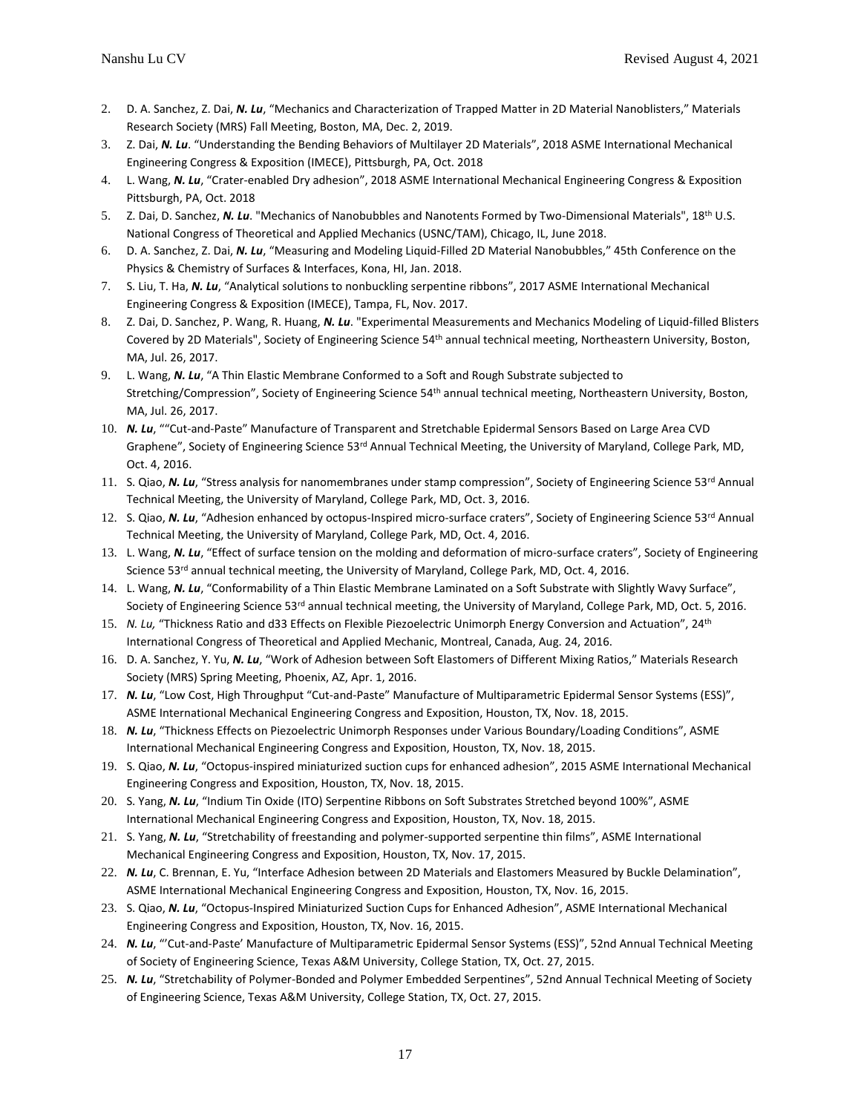- 2. D. A. Sanchez, Z. Dai, *N. Lu*, "Mechanics and Characterization of Trapped Matter in 2D Material Nanoblisters," Materials Research Society (MRS) Fall Meeting, Boston, MA, Dec. 2, 2019.
- 3. Z. Dai, *N. Lu*. "Understanding the Bending Behaviors of Multilayer 2D Materials", 2018 ASME International Mechanical Engineering Congress & Exposition (IMECE), Pittsburgh, PA, Oct. 2018
- 4. L. Wang, *N. Lu*, "Crater-enabled Dry adhesion", 2018 ASME International Mechanical Engineering Congress & Exposition Pittsburgh, PA, Oct. 2018
- 5. Z. Dai, D. Sanchez, *N. Lu*. "Mechanics of Nanobubbles and Nanotents Formed by Two-Dimensional Materials", 18th U.S. National Congress of Theoretical and Applied Mechanics (USNC/TAM), Chicago, IL, June 2018.
- 6. D. A. Sanchez, Z. Dai, *N. Lu*, "Measuring and Modeling Liquid-Filled 2D Material Nanobubbles," 45th Conference on the Physics & Chemistry of Surfaces & Interfaces, Kona, HI, Jan. 2018.
- 7. S. Liu, T. Ha, *N. Lu*, "Analytical solutions to nonbuckling serpentine ribbons", 2017 ASME International Mechanical Engineering Congress & Exposition (IMECE), Tampa, FL, Nov. 2017.
- 8. Z. Dai, D. Sanchez, P. Wang, R. Huang, *N. Lu*. "Experimental Measurements and Mechanics Modeling of Liquid-filled Blisters Covered by 2D Materials", Society of Engineering Science 54th annual technical meeting, Northeastern University, Boston, MA, Jul. 26, 2017.
- 9. L. Wang, *N. Lu*, "A Thin Elastic Membrane Conformed to a Soft and Rough Substrate subjected to Stretching/Compression", Society of Engineering Science 54<sup>th</sup> annual technical meeting, Northeastern University, Boston, MA, Jul. 26, 2017.
- 10. *N. Lu*, ""Cut-and-Paste" Manufacture of Transparent and Stretchable Epidermal Sensors Based on Large Area CVD Graphene", Society of Engineering Science 53<sup>rd</sup> Annual Technical Meeting, the University of Maryland, College Park, MD, Oct. 4, 2016.
- 11. S. Qiao, *N. Lu*, "Stress analysis for nanomembranes under stamp compression", Society of Engineering Science 53rd Annual Technical Meeting, the University of Maryland, College Park, MD, Oct. 3, 2016.
- 12. S. Qiao, *N. Lu*, "Adhesion enhanced by octopus-Inspired micro-surface craters", Society of Engineering Science 53<sup>rd</sup> Annual Technical Meeting, the University of Maryland, College Park, MD, Oct. 4, 2016.
- 13. L. Wang, *N. Lu*, "Effect of surface tension on the molding and deformation of micro-surface craters", Society of Engineering Science 53rd annual technical meeting, the University of Maryland, College Park, MD, Oct. 4, 2016.
- 14. L. Wang, *N. Lu*, "Conformability of a Thin Elastic Membrane Laminated on a Soft Substrate with Slightly Wavy Surface", Society of Engineering Science 53rd annual technical meeting, the University of Maryland, College Park, MD, Oct. 5, 2016.
- 15. *N. Lu,* "Thickness Ratio and d33 Effects on Flexible Piezoelectric Unimorph Energy Conversion and Actuation", 24th International Congress of Theoretical and Applied Mechanic, Montreal, Canada, Aug. 24, 2016.
- 16. D. A. Sanchez, Y. Yu, *N. Lu*, "Work of Adhesion between Soft Elastomers of Different Mixing Ratios," Materials Research Society (MRS) Spring Meeting, Phoenix, AZ, Apr. 1, 2016.
- 17. *N. Lu*, "Low Cost, High Throughput "Cut-and-Paste" Manufacture of Multiparametric Epidermal Sensor Systems (ESS)", ASME International Mechanical Engineering Congress and Exposition, Houston, TX, Nov. 18, 2015.
- 18. *N. Lu*, "Thickness Effects on Piezoelectric Unimorph Responses under Various Boundary/Loading Conditions", ASME International Mechanical Engineering Congress and Exposition, Houston, TX, Nov. 18, 2015.
- 19. S. Qiao, *N. Lu*, "Octopus-inspired miniaturized suction cups for enhanced adhesion", 2015 ASME International Mechanical Engineering Congress and Exposition, Houston, TX, Nov. 18, 2015.
- 20. S. Yang, *N. Lu*, "Indium Tin Oxide (ITO) Serpentine Ribbons on Soft Substrates Stretched beyond 100%", ASME International Mechanical Engineering Congress and Exposition, Houston, TX, Nov. 18, 2015.
- 21. S. Yang, *N. Lu*, "Stretchability of freestanding and polymer-supported serpentine thin films", ASME International Mechanical Engineering Congress and Exposition, Houston, TX, Nov. 17, 2015.
- 22. *N. Lu*, C. Brennan, E. Yu, "Interface Adhesion between 2D Materials and Elastomers Measured by Buckle Delamination", ASME International Mechanical Engineering Congress and Exposition, Houston, TX, Nov. 16, 2015.
- 23. S. Qiao, *N. Lu*, "Octopus-Inspired Miniaturized Suction Cups for Enhanced Adhesion", ASME International Mechanical Engineering Congress and Exposition, Houston, TX, Nov. 16, 2015.
- 24. *N. Lu*, "'Cut-and-Paste' Manufacture of Multiparametric Epidermal Sensor Systems (ESS)", 52nd Annual Technical Meeting of Society of Engineering Science, Texas A&M University, College Station, TX, Oct. 27, 2015.
- 25. *N. Lu*, "Stretchability of Polymer-Bonded and Polymer Embedded Serpentines", 52nd Annual Technical Meeting of Society of Engineering Science, Texas A&M University, College Station, TX, Oct. 27, 2015.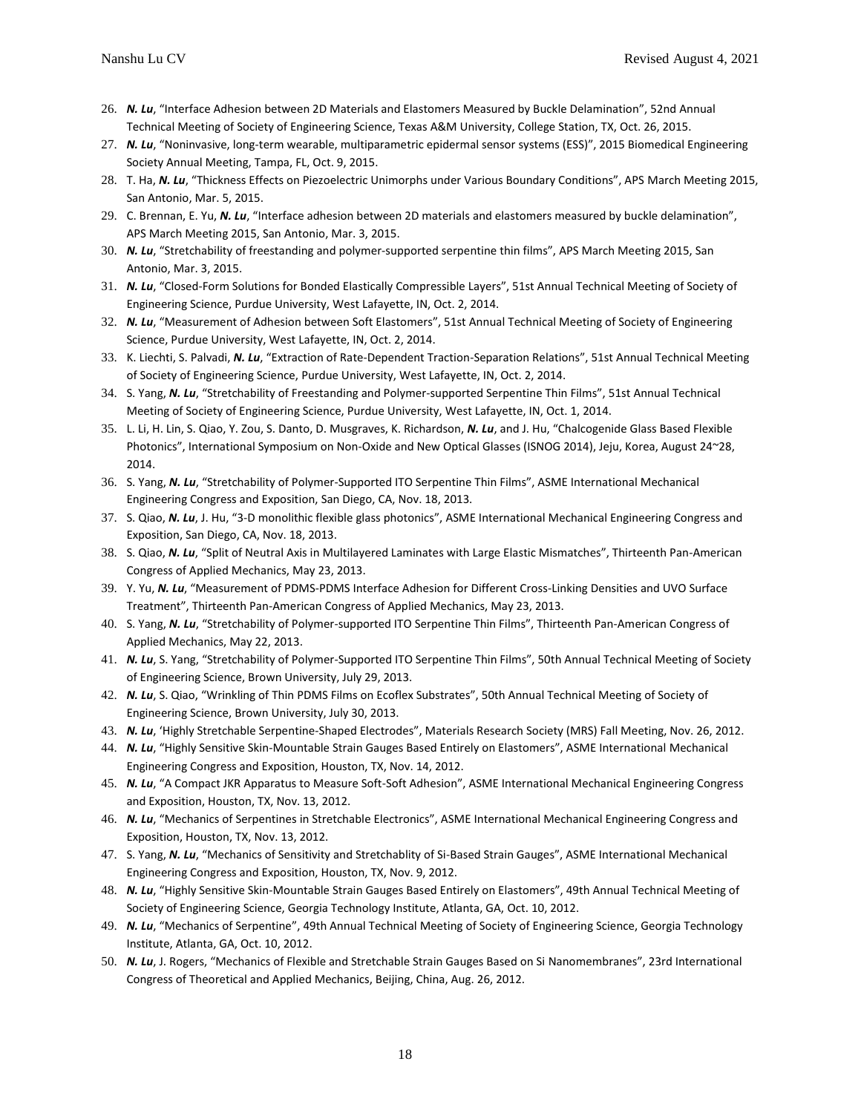- 26. *N. Lu*, "Interface Adhesion between 2D Materials and Elastomers Measured by Buckle Delamination", 52nd Annual Technical Meeting of Society of Engineering Science, Texas A&M University, College Station, TX, Oct. 26, 2015.
- 27. *N. Lu*, "Noninvasive, long-term wearable, multiparametric epidermal sensor systems (ESS)", 2015 Biomedical Engineering Society Annual Meeting, Tampa, FL, Oct. 9, 2015.
- 28. T. Ha, *N. Lu*, "Thickness Effects on Piezoelectric Unimorphs under Various Boundary Conditions", APS March Meeting 2015, San Antonio, Mar. 5, 2015.
- 29. C. Brennan, E. Yu, *N. Lu*, "Interface adhesion between 2D materials and elastomers measured by buckle delamination", APS March Meeting 2015, San Antonio, Mar. 3, 2015.
- 30. *N. Lu*, "Stretchability of freestanding and polymer-supported serpentine thin films", APS March Meeting 2015, San Antonio, Mar. 3, 2015.
- 31. *N. Lu*, "Closed-Form Solutions for Bonded Elastically Compressible Layers", 51st Annual Technical Meeting of Society of Engineering Science, Purdue University, West Lafayette, IN, Oct. 2, 2014.
- 32. *N. Lu*, "Measurement of Adhesion between Soft Elastomers", 51st Annual Technical Meeting of Society of Engineering Science, Purdue University, West Lafayette, IN, Oct. 2, 2014.
- 33. K. Liechti, S. Palvadi, *N. Lu*, "Extraction of Rate-Dependent Traction-Separation Relations", 51st Annual Technical Meeting of Society of Engineering Science, Purdue University, West Lafayette, IN, Oct. 2, 2014.
- 34. S. Yang, *N. Lu*, "Stretchability of Freestanding and Polymer-supported Serpentine Thin Films", 51st Annual Technical Meeting of Society of Engineering Science, Purdue University, West Lafayette, IN, Oct. 1, 2014.
- 35. L. Li, H. Lin, S. Qiao, Y. Zou, S. Danto, D. Musgraves, K. Richardson, *N. Lu*, and J. Hu, "Chalcogenide Glass Based Flexible Photonics", International Symposium on Non-Oxide and New Optical Glasses (ISNOG 2014), Jeju, Korea, August 24~28, 2014.
- 36. S. Yang, *N. Lu*, "Stretchability of Polymer-Supported ITO Serpentine Thin Films", ASME International Mechanical Engineering Congress and Exposition, San Diego, CA, Nov. 18, 2013.
- 37. S. Qiao, *N. Lu*, J. Hu, "3-D monolithic flexible glass photonics", ASME International Mechanical Engineering Congress and Exposition, San Diego, CA, Nov. 18, 2013.
- 38. S. Qiao, *N. Lu*, "Split of Neutral Axis in Multilayered Laminates with Large Elastic Mismatches", Thirteenth Pan-American Congress of Applied Mechanics, May 23, 2013.
- 39. Y. Yu, *N. Lu*, "Measurement of PDMS-PDMS Interface Adhesion for Different Cross-Linking Densities and UVO Surface Treatment", Thirteenth Pan-American Congress of Applied Mechanics, May 23, 2013.
- 40. S. Yang, *N. Lu*, "Stretchability of Polymer-supported ITO Serpentine Thin Films", Thirteenth Pan-American Congress of Applied Mechanics, May 22, 2013.
- 41. *N. Lu*, S. Yang, "Stretchability of Polymer-Supported ITO Serpentine Thin Films", 50th Annual Technical Meeting of Society of Engineering Science, Brown University, July 29, 2013.
- 42. *N. Lu*, S. Qiao, "Wrinkling of Thin PDMS Films on Ecoflex Substrates", 50th Annual Technical Meeting of Society of Engineering Science, Brown University, July 30, 2013.
- 43. *N. Lu*, 'Highly Stretchable Serpentine-Shaped Electrodes", Materials Research Society (MRS) Fall Meeting, Nov. 26, 2012.
- 44. *N. Lu*, "Highly Sensitive Skin-Mountable Strain Gauges Based Entirely on Elastomers", ASME International Mechanical Engineering Congress and Exposition, Houston, TX, Nov. 14, 2012.
- 45. *N. Lu*, "A Compact JKR Apparatus to Measure Soft-Soft Adhesion", ASME International Mechanical Engineering Congress and Exposition, Houston, TX, Nov. 13, 2012.
- 46. *N. Lu*, "Mechanics of Serpentines in Stretchable Electronics", ASME International Mechanical Engineering Congress and Exposition, Houston, TX, Nov. 13, 2012.
- 47. S. Yang, *N. Lu*, "Mechanics of Sensitivity and Stretchablity of Si-Based Strain Gauges", ASME International Mechanical Engineering Congress and Exposition, Houston, TX, Nov. 9, 2012.
- 48. *N. Lu*, "Highly Sensitive Skin-Mountable Strain Gauges Based Entirely on Elastomers", 49th Annual Technical Meeting of Society of Engineering Science, Georgia Technology Institute, Atlanta, GA, Oct. 10, 2012.
- 49. *N. Lu*, "Mechanics of Serpentine", 49th Annual Technical Meeting of Society of Engineering Science, Georgia Technology Institute, Atlanta, GA, Oct. 10, 2012.
- 50. *N. Lu*, J. Rogers, "Mechanics of Flexible and Stretchable Strain Gauges Based on Si Nanomembranes", 23rd International Congress of Theoretical and Applied Mechanics, Beijing, China, Aug. 26, 2012.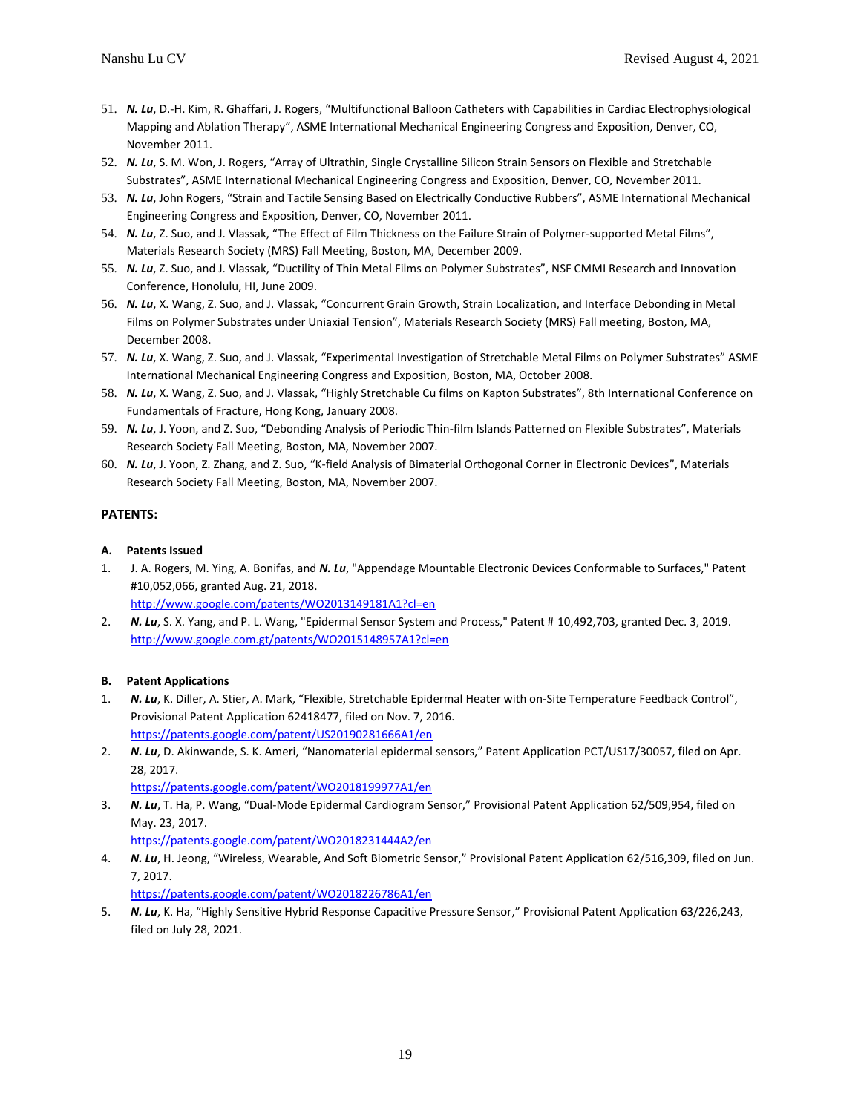- 51. *N. Lu*, D.-H. Kim, R. Ghaffari, J. Rogers, "Multifunctional Balloon Catheters with Capabilities in Cardiac Electrophysiological Mapping and Ablation Therapy", ASME International Mechanical Engineering Congress and Exposition, Denver, CO, November 2011.
- 52. *N. Lu*, S. M. Won, J. Rogers, "Array of Ultrathin, Single Crystalline Silicon Strain Sensors on Flexible and Stretchable Substrates", ASME International Mechanical Engineering Congress and Exposition, Denver, CO, November 2011.
- 53. *N. Lu*, John Rogers, "Strain and Tactile Sensing Based on Electrically Conductive Rubbers", ASME International Mechanical Engineering Congress and Exposition, Denver, CO, November 2011.
- 54. *N. Lu*, Z. Suo, and J. Vlassak, "The Effect of Film Thickness on the Failure Strain of Polymer-supported Metal Films", Materials Research Society (MRS) Fall Meeting, Boston, MA, December 2009.
- 55. *N. Lu*, Z. Suo, and J. Vlassak, "Ductility of Thin Metal Films on Polymer Substrates", NSF CMMI Research and Innovation Conference, Honolulu, HI, June 2009.
- 56. *N. Lu*, X. Wang, Z. Suo, and J. Vlassak, "Concurrent Grain Growth, Strain Localization, and Interface Debonding in Metal Films on Polymer Substrates under Uniaxial Tension", Materials Research Society (MRS) Fall meeting, Boston, MA, December 2008.
- 57. *N. Lu*, X. Wang, Z. Suo, and J. Vlassak, "Experimental Investigation of Stretchable Metal Films on Polymer Substrates" ASME International Mechanical Engineering Congress and Exposition, Boston, MA, October 2008.
- 58. *N. Lu*, X. Wang, Z. Suo, and J. Vlassak, "Highly Stretchable Cu films on Kapton Substrates", 8th International Conference on Fundamentals of Fracture, Hong Kong, January 2008.
- 59. *N. Lu*, J. Yoon, and Z. Suo, "Debonding Analysis of Periodic Thin-film Islands Patterned on Flexible Substrates", Materials Research Society Fall Meeting, Boston, MA, November 2007.
- 60. *N. Lu*, J. Yoon, Z. Zhang, and Z. Suo, "K-field Analysis of Bimaterial Orthogonal Corner in Electronic Devices", Materials Research Society Fall Meeting, Boston, MA, November 2007.

# **PATENTS:**

# **A. Patents Issued**

1. J. A. Rogers, M. Ying, A. Bonifas, and *N. Lu*, "Appendage Mountable Electronic Devices Conformable to Surfaces," Patent #10,052,066, granted Aug. 21, 2018.

<http://www.google.com/patents/WO2013149181A1?cl=en>

2. *N. Lu*, S. X. Yang, and P. L. Wang, "Epidermal Sensor System and Process," Patent # 10,492,703, granted Dec. 3, 2019. <http://www.google.com.gt/patents/WO2015148957A1?cl=en>

# **B. Patent Applications**

- 1. *N. Lu*, K. Diller, A. Stier, A. Mark, "Flexible, Stretchable Epidermal Heater with on-Site Temperature Feedback Control", Provisional Patent Application 62418477, filed on Nov. 7, 2016. <https://patents.google.com/patent/US20190281666A1/en>
- 2. *N. Lu*, D. Akinwande, S. K. Ameri, "Nanomaterial epidermal sensors," Patent Application PCT/US17/30057, filed on Apr. 28, 2017.

<https://patents.google.com/patent/WO2018199977A1/en>

3. *N. Lu*, T. Ha, P. Wang, "Dual-Mode Epidermal Cardiogram Sensor," Provisional Patent Application 62/509,954, filed on May. 23, 2017.

<https://patents.google.com/patent/WO2018231444A2/en>

4. *N. Lu*, H. Jeong, "Wireless, Wearable, And Soft Biometric Sensor," Provisional Patent Application 62/516,309, filed on Jun. 7, 2017.

<https://patents.google.com/patent/WO2018226786A1/en>

5. *N. Lu*, K. Ha, "Highly Sensitive Hybrid Response Capacitive Pressure Sensor," Provisional Patent Application 63/226,243, filed on July 28, 2021.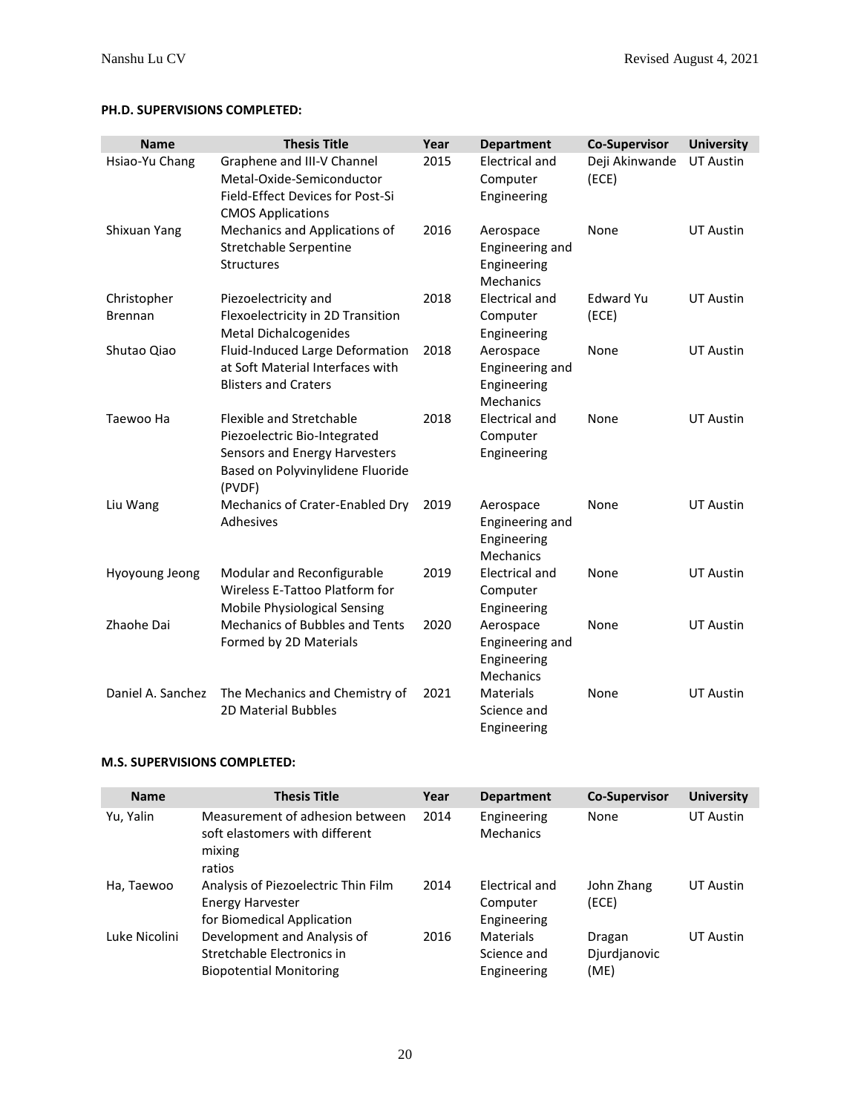# **PH.D. SUPERVISIONS COMPLETED:**

| <b>Name</b>                   | <b>Thesis Title</b>                                                                                                                     | Year | <b>Department</b>                                        | <b>Co-Supervisor</b>      | <b>University</b> |
|-------------------------------|-----------------------------------------------------------------------------------------------------------------------------------------|------|----------------------------------------------------------|---------------------------|-------------------|
| Hsiao-Yu Chang                | Graphene and III-V Channel<br>Metal-Oxide-Semiconductor<br>Field-Effect Devices for Post-Si<br><b>CMOS Applications</b>                 | 2015 | <b>Electrical and</b><br>Computer<br>Engineering         | Deji Akinwande<br>(ECE)   | <b>UT Austin</b>  |
| Shixuan Yang                  | Mechanics and Applications of<br>Stretchable Serpentine<br>Structures                                                                   | 2016 | Aerospace<br>Engineering and<br>Engineering<br>Mechanics | None                      | <b>UT Austin</b>  |
| Christopher<br><b>Brennan</b> | Piezoelectricity and<br>Flexoelectricity in 2D Transition<br><b>Metal Dichalcogenides</b>                                               | 2018 | <b>Electrical and</b><br>Computer<br>Engineering         | <b>Edward Yu</b><br>(ECE) | <b>UT Austin</b>  |
| Shutao Qiao                   | Fluid-Induced Large Deformation<br>at Soft Material Interfaces with<br><b>Blisters and Craters</b>                                      | 2018 | Aerospace<br>Engineering and<br>Engineering<br>Mechanics | None                      | <b>UT Austin</b>  |
| Taewoo Ha                     | Flexible and Stretchable<br>Piezoelectric Bio-Integrated<br>Sensors and Energy Harvesters<br>Based on Polyvinylidene Fluoride<br>(PVDF) | 2018 | <b>Electrical and</b><br>Computer<br>Engineering         | None                      | <b>UT Austin</b>  |
| Liu Wang                      | Mechanics of Crater-Enabled Dry<br><b>Adhesives</b>                                                                                     | 2019 | Aerospace<br>Engineering and<br>Engineering<br>Mechanics | None                      | <b>UT Austin</b>  |
| Hyoyoung Jeong                | Modular and Reconfigurable<br>Wireless E-Tattoo Platform for<br>Mobile Physiological Sensing                                            | 2019 | <b>Electrical and</b><br>Computer<br>Engineering         | None                      | <b>UT Austin</b>  |
| Zhaohe Dai                    | <b>Mechanics of Bubbles and Tents</b><br>Formed by 2D Materials                                                                         | 2020 | Aerospace<br>Engineering and<br>Engineering<br>Mechanics | None                      | <b>UT Austin</b>  |
| Daniel A. Sanchez             | The Mechanics and Chemistry of<br>2D Material Bubbles                                                                                   | 2021 | Materials<br>Science and<br>Engineering                  | None                      | <b>UT Austin</b>  |

# **M.S. SUPERVISIONS COMPLETED:**

| <b>Name</b>   | <b>Thesis Title</b>                                                                          | Year | <b>Department</b>                         | <b>Co-Supervisor</b>           | <b>University</b> |
|---------------|----------------------------------------------------------------------------------------------|------|-------------------------------------------|--------------------------------|-------------------|
| Yu, Yalin     | Measurement of adhesion between<br>soft elastomers with different<br>mixing<br>ratios        | 2014 | Engineering<br>Mechanics                  | None                           | UT Austin         |
| Ha, Taewoo    | Analysis of Piezoelectric Thin Film<br><b>Energy Harvester</b><br>for Biomedical Application | 2014 | Electrical and<br>Computer<br>Engineering | John Zhang<br>(ECE)            | UT Austin         |
| Luke Nicolini | Development and Analysis of<br>Stretchable Electronics in<br><b>Biopotential Monitoring</b>  | 2016 | Materials<br>Science and<br>Engineering   | Dragan<br>Djurdjanovic<br>(ME) | UT Austin         |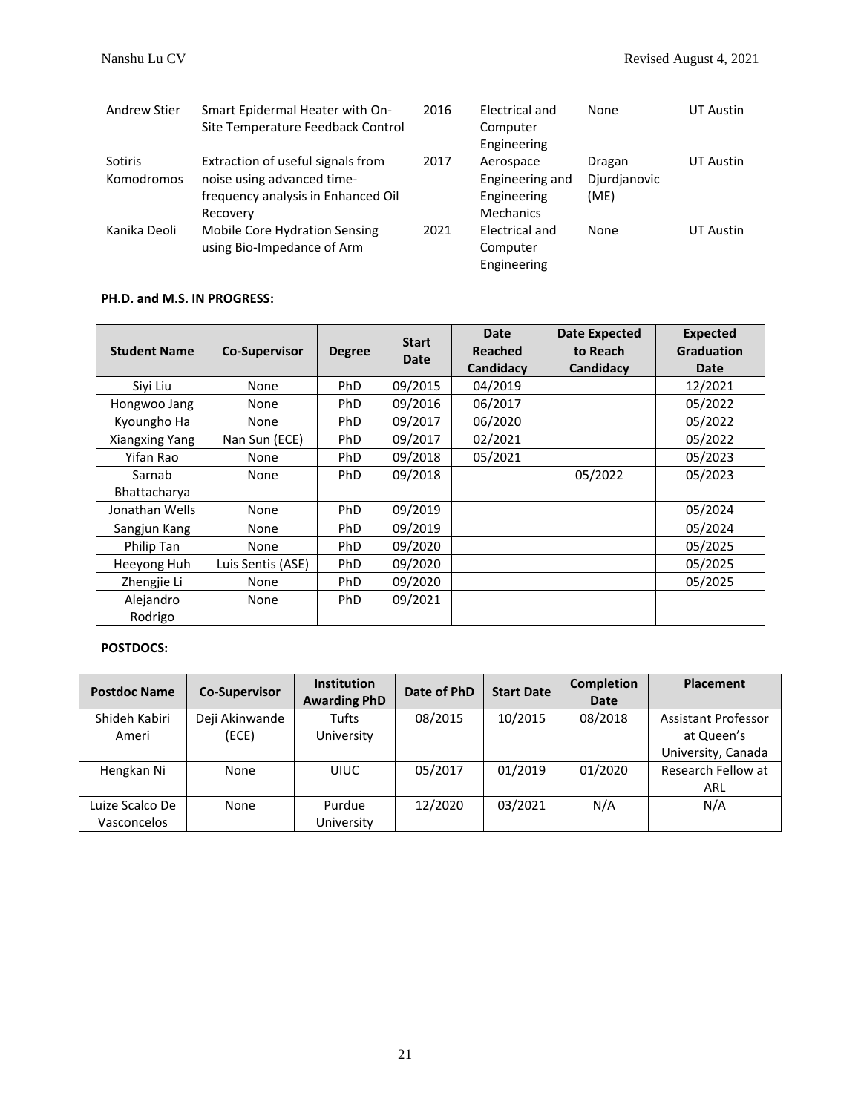| Andrew Stier                        | Smart Epidermal Heater with On-<br>Site Temperature Feedback Control                                              | 2016 | Electrical and<br>Computer<br>Engineering                       | None                           | UT Austin |
|-------------------------------------|-------------------------------------------------------------------------------------------------------------------|------|-----------------------------------------------------------------|--------------------------------|-----------|
| <b>Sotiris</b><br><b>Komodromos</b> | Extraction of useful signals from<br>noise using advanced time-<br>frequency analysis in Enhanced Oil<br>Recovery | 2017 | Aerospace<br>Engineering and<br>Engineering<br><b>Mechanics</b> | Dragan<br>Djurdjanovic<br>(ME) | UT Austin |
| Kanika Deoli                        | <b>Mobile Core Hydration Sensing</b><br>using Bio-Impedance of Arm                                                | 2021 | Electrical and<br>Computer<br>Engineering                       | None                           | UT Austin |

## **PH.D. and M.S. IN PROGRESS:**

| <b>Student Name</b>    | <b>Co-Supervisor</b> | <b>Degree</b> | <b>Start</b><br><b>Date</b> | Date<br>Reached<br>Candidacy | <b>Date Expected</b><br>to Reach<br>Candidacy | Expected<br>Graduation<br>Date |
|------------------------|----------------------|---------------|-----------------------------|------------------------------|-----------------------------------------------|--------------------------------|
| Siyi Liu               | None                 | <b>PhD</b>    | 09/2015                     | 04/2019                      |                                               | 12/2021                        |
| Hongwoo Jang           | None                 | <b>PhD</b>    | 09/2016                     | 06/2017                      |                                               | 05/2022                        |
| Kyoungho Ha            | None                 | <b>PhD</b>    | 09/2017                     | 06/2020                      |                                               | 05/2022                        |
| Xiangxing Yang         | Nan Sun (ECE)        | PhD           | 09/2017                     | 02/2021                      |                                               | 05/2022                        |
| Yifan Rao              | None                 | PhD           | 09/2018                     | 05/2021                      |                                               | 05/2023                        |
| Sarnab<br>Bhattacharya | None                 | <b>PhD</b>    | 09/2018                     |                              | 05/2022                                       | 05/2023                        |
| Jonathan Wells         | None                 | <b>PhD</b>    | 09/2019                     |                              |                                               | 05/2024                        |
| Sangjun Kang           | None                 | PhD.          | 09/2019                     |                              |                                               | 05/2024                        |
| Philip Tan             | None                 | <b>PhD</b>    | 09/2020                     |                              |                                               | 05/2025                        |
| Heeyong Huh            | Luis Sentis (ASE)    | <b>PhD</b>    | 09/2020                     |                              |                                               | 05/2025                        |
| Zhengjie Li            | None                 | <b>PhD</b>    | 09/2020                     |                              |                                               | 05/2025                        |
| Alejandro<br>Rodrigo   | None                 | <b>PhD</b>    | 09/2021                     |                              |                                               |                                |

# **POSTDOCS:**

| <b>Postdoc Name</b> | <b>Co-Supervisor</b> | <b>Institution</b><br><b>Awarding PhD</b> | Date of PhD | <b>Start Date</b> | <b>Completion</b><br><b>Date</b> | <b>Placement</b>           |
|---------------------|----------------------|-------------------------------------------|-------------|-------------------|----------------------------------|----------------------------|
| Shideh Kabiri       | Deji Akinwande       | Tufts                                     | 08/2015     | 10/2015           | 08/2018                          | <b>Assistant Professor</b> |
| Ameri               | (ECE)                | University                                |             |                   |                                  | at Queen's                 |
|                     |                      |                                           |             |                   |                                  | University, Canada         |
| Hengkan Ni          | None                 | <b>UIUC</b>                               | 05/2017     | 01/2019           | 01/2020                          | Research Fellow at         |
|                     |                      |                                           |             |                   |                                  | ARL                        |
| Luize Scalco De     | None                 | Purdue                                    | 12/2020     | 03/2021           | N/A                              | N/A                        |
| Vasconcelos         |                      | University                                |             |                   |                                  |                            |